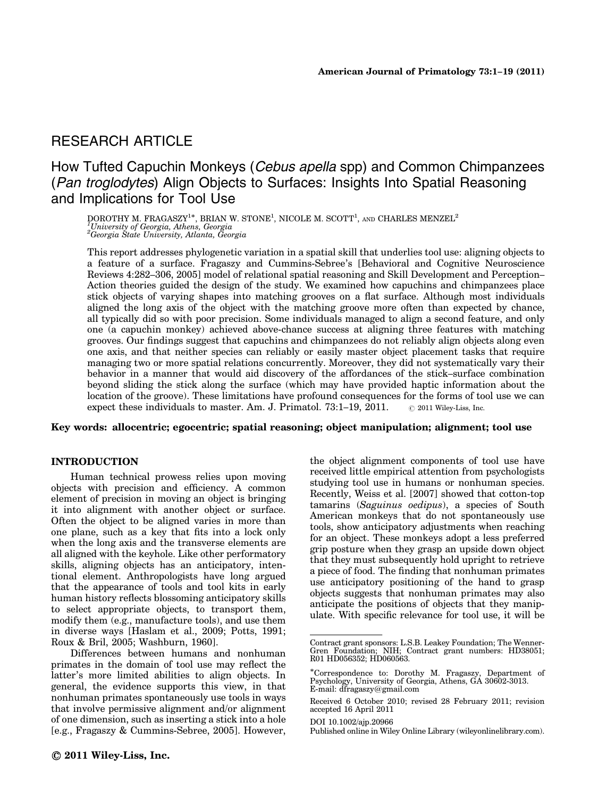# RESEARCH ARTICLE

# How Tufted Capuchin Monkeys (Cebus apella spp) and Common Chimpanzees (Pan troglodytes) Align Objects to Surfaces: Insights Into Spatial Reasoning and Implications for Tool Use

DOROTHY M. FRAGASZY<sup>1\*</sup>, BRIAN W. STONE<sup>1</sup>, NICOLE M. SCOTT<sup>1</sup>, AND CHARLES MENZEL<sup>2</sup><br><sup>1</sup>University of Georgia, Athens, Georgia<br><sup>2</sup>Georgia State University, Atlanta, Georgia

This report addresses phylogenetic variation in a spatial skill that underlies tool use: aligning objects to a feature of a surface. Fragaszy and Cummins-Sebree's [Behavioral and Cognitive Neuroscience Reviews 4:282–306, 2005] model of relational spatial reasoning and Skill Development and Perception– Action theories guided the design of the study. We examined how capuchins and chimpanzees place stick objects of varying shapes into matching grooves on a flat surface. Although most individuals aligned the long axis of the object with the matching groove more often than expected by chance, all typically did so with poor precision. Some individuals managed to align a second feature, and only one (a capuchin monkey) achieved above-chance success at aligning three features with matching grooves. Our findings suggest that capuchins and chimpanzees do not reliably align objects along even one axis, and that neither species can reliably or easily master object placement tasks that require managing two or more spatial relations concurrently. Moreover, they did not systematically vary their behavior in a manner that would aid discovery of the affordances of the stick–surface combination beyond sliding the stick along the surface (which may have provided haptic information about the location of the groove). These limitations have profound consequences for the forms of tool use we can expect these individuals to master. Am. J. Primatol.  $73:1-19$ ,  $2011$ .  $\circ$  2011 Wiley-Liss, Inc.

#### Key words: allocentric; egocentric; spatial reasoning; object manipulation; alignment; tool use

## INTRODUCTION

Human technical prowess relies upon moving objects with precision and efficiency. A common element of precision in moving an object is bringing it into alignment with another object or surface. Often the object to be aligned varies in more than one plane, such as a key that fits into a lock only when the long axis and the transverse elements are all aligned with the keyhole. Like other performatory skills, aligning objects has an anticipatory, intentional element. Anthropologists have long argued that the appearance of tools and tool kits in early human history reflects blossoming anticipatory skills to select appropriate objects, to transport them, modify them (e.g., manufacture tools), and use them in diverse ways [Haslam et al., 2009; Potts, 1991; Roux & Bril, 2005; Washburn, 1960].

Differences between humans and nonhuman primates in the domain of tool use may reflect the latter's more limited abilities to align objects. In general, the evidence supports this view, in that nonhuman primates spontaneously use tools in ways that involve permissive alignment and/or alignment of one dimension, such as inserting a stick into a hole [e.g., Fragaszy & Cummins-Sebree, 2005]. However,

the object alignment components of tool use have received little empirical attention from psychologists studying tool use in humans or nonhuman species. Recently, Weiss et al. [2007] showed that cotton-top tamarins (Saguinus oedipus), a species of South American monkeys that do not spontaneously use tools, show anticipatory adjustments when reaching for an object. These monkeys adopt a less preferred grip posture when they grasp an upside down object that they must subsequently hold upright to retrieve a piece of food. The finding that nonhuman primates use anticipatory positioning of the hand to grasp objects suggests that nonhuman primates may also anticipate the positions of objects that they manipulate. With specific relevance for tool use, it will be

Contract grant sponsors: L.S.B. Leakey Foundation; The Wenner-Gren Foundation; NIH; Contract grant numbers: HD38051; R01 HD056352; HD060563.

<sup>-</sup>Correspondence to: Dorothy M. Fragaszy, Department of Psychology, University of Georgia, Athens, GA 30602-3013. E-mail: dfragaszy@gmail.com

Received 6 October 2010; revised 28 February 2011; revision accepted 16 April 2011

DOI 10.1002/ajp.20966

Published online in Wiley Online Library (wileyonlinelibrary.com).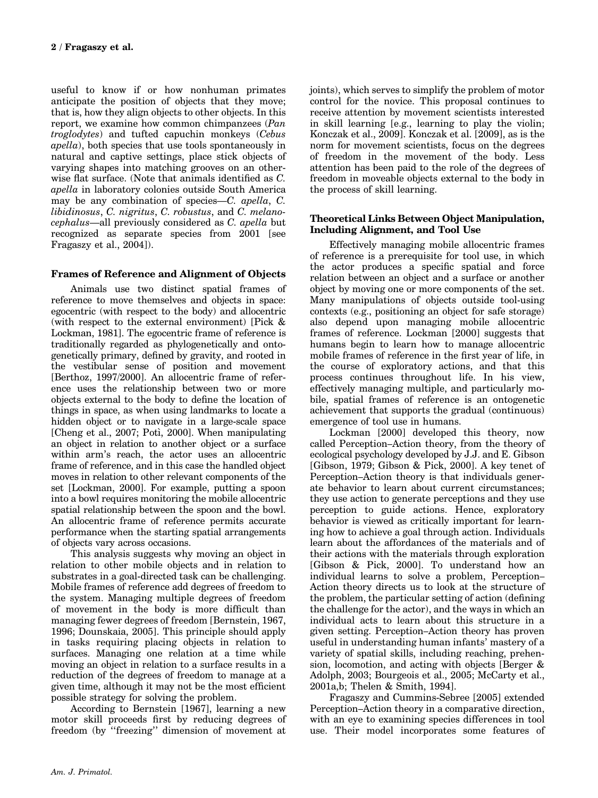useful to know if or how nonhuman primates anticipate the position of objects that they move; that is, how they align objects to other objects. In this report, we examine how common chimpanzees (Pan troglodytes) and tufted capuchin monkeys (Cebus apella), both species that use tools spontaneously in natural and captive settings, place stick objects of varying shapes into matching grooves on an otherwise flat surface. (Note that animals identified as C. apella in laboratory colonies outside South America may be any combination of species—C. apella, C. libidinosus, C. nigritus, C. robustus, and C. melanocephalus—all previously considered as C. apella but recognized as separate species from 2001 [see Fragaszy et al., 2004]).

## Frames of Reference and Alignment of Objects

Animals use two distinct spatial frames of reference to move themselves and objects in space: egocentric (with respect to the body) and allocentric (with respect to the external environment) [Pick & Lockman, 1981]. The egocentric frame of reference is traditionally regarded as phylogenetically and ontogenetically primary, defined by gravity, and rooted in the vestibular sense of position and movement [Berthoz, 1997/2000]. An allocentric frame of reference uses the relationship between two or more objects external to the body to define the location of things in space, as when using landmarks to locate a hidden object or to navigate in a large-scale space [Cheng et al., 2007; Poti, 2000]. When manipulating an object in relation to another object or a surface within arm's reach, the actor uses an allocentric frame of reference, and in this case the handled object moves in relation to other relevant components of the set [Lockman, 2000]. For example, putting a spoon into a bowl requires monitoring the mobile allocentric spatial relationship between the spoon and the bowl. An allocentric frame of reference permits accurate performance when the starting spatial arrangements of objects vary across occasions.

This analysis suggests why moving an object in relation to other mobile objects and in relation to substrates in a goal-directed task can be challenging. Mobile frames of reference add degrees of freedom to the system. Managing multiple degrees of freedom of movement in the body is more difficult than managing fewer degrees of freedom [Bernstein, 1967, 1996; Dounskaia, 2005]. This principle should apply in tasks requiring placing objects in relation to surfaces. Managing one relation at a time while moving an object in relation to a surface results in a reduction of the degrees of freedom to manage at a given time, although it may not be the most efficient possible strategy for solving the problem.

According to Bernstein [1967], learning a new motor skill proceeds first by reducing degrees of freedom (by ''freezing'' dimension of movement at joints), which serves to simplify the problem of motor control for the novice. This proposal continues to receive attention by movement scientists interested in skill learning [e.g., learning to play the violin; Konczak et al., 2009]. Konczak et al. [2009], as is the norm for movement scientists, focus on the degrees of freedom in the movement of the body. Less attention has been paid to the role of the degrees of freedom in moveable objects external to the body in the process of skill learning.

#### Theoretical Links Between Object Manipulation, Including Alignment, and Tool Use

Effectively managing mobile allocentric frames of reference is a prerequisite for tool use, in which the actor produces a specific spatial and force relation between an object and a surface or another object by moving one or more components of the set. Many manipulations of objects outside tool-using contexts (e.g., positioning an object for safe storage) also depend upon managing mobile allocentric frames of reference. Lockman [2000] suggests that humans begin to learn how to manage allocentric mobile frames of reference in the first year of life, in the course of exploratory actions, and that this process continues throughout life. In his view, effectively managing multiple, and particularly mobile, spatial frames of reference is an ontogenetic achievement that supports the gradual (continuous) emergence of tool use in humans.

Lockman [2000] developed this theory, now called Perception–Action theory, from the theory of ecological psychology developed by J.J. and E. Gibson [Gibson, 1979; Gibson & Pick, 2000]. A key tenet of Perception–Action theory is that individuals generate behavior to learn about current circumstances; they use action to generate perceptions and they use perception to guide actions. Hence, exploratory behavior is viewed as critically important for learning how to achieve a goal through action. Individuals learn about the affordances of the materials and of their actions with the materials through exploration [Gibson & Pick, 2000]. To understand how an individual learns to solve a problem, Perception– Action theory directs us to look at the structure of the problem, the particular setting of action (defining the challenge for the actor), and the ways in which an individual acts to learn about this structure in a given setting. Perception–Action theory has proven useful in understanding human infants' mastery of a variety of spatial skills, including reaching, prehension, locomotion, and acting with objects [Berger & Adolph, 2003; Bourgeois et al., 2005; McCarty et al., 2001a,b; Thelen & Smith, 1994].

Fragaszy and Cummins-Sebree [2005] extended Perception–Action theory in a comparative direction, with an eye to examining species differences in tool use. Their model incorporates some features of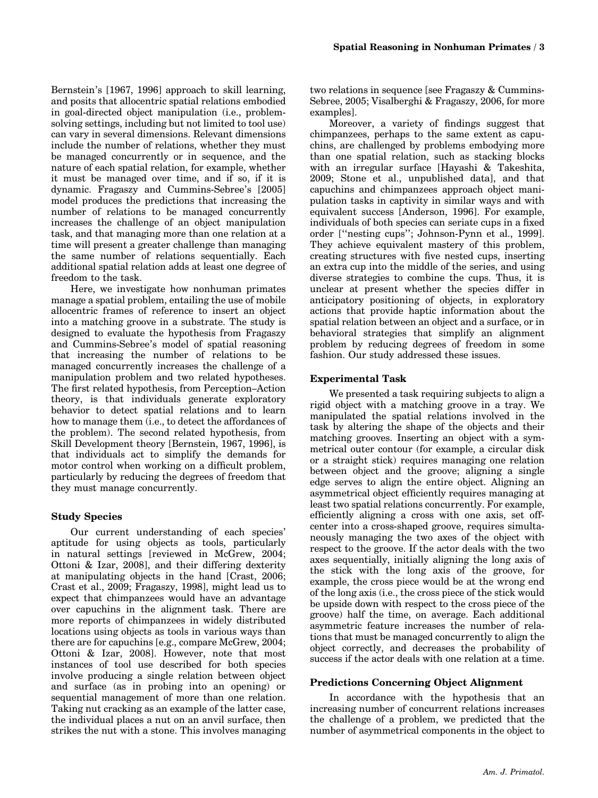Bernstein's [1967, 1996] approach to skill learning, and posits that allocentric spatial relations embodied in goal-directed object manipulation (i.e., problemsolving settings, including but not limited to tool use) can vary in several dimensions. Relevant dimensions include the number of relations, whether they must be managed concurrently or in sequence, and the nature of each spatial relation, for example, whether it must be managed over time, and if so, if it is dynamic. Fragaszy and Cummins-Sebree's [2005] model produces the predictions that increasing the number of relations to be managed concurrently increases the challenge of an object manipulation task, and that managing more than one relation at a time will present a greater challenge than managing the same number of relations sequentially. Each additional spatial relation adds at least one degree of freedom to the task.

Here, we investigate how nonhuman primates manage a spatial problem, entailing the use of mobile allocentric frames of reference to insert an object into a matching groove in a substrate. The study is designed to evaluate the hypothesis from Fragaszy and Cummins-Sebree's model of spatial reasoning that increasing the number of relations to be managed concurrently increases the challenge of a manipulation problem and two related hypotheses. The first related hypothesis, from Perception–Action theory, is that individuals generate exploratory behavior to detect spatial relations and to learn how to manage them (i.e., to detect the affordances of the problem). The second related hypothesis, from Skill Development theory [Bernstein, 1967, 1996], is that individuals act to simplify the demands for motor control when working on a difficult problem, particularly by reducing the degrees of freedom that they must manage concurrently.

## Study Species

Our current understanding of each species' aptitude for using objects as tools, particularly in natural settings [reviewed in McGrew, 2004; Ottoni & Izar, 2008], and their differing dexterity at manipulating objects in the hand [Crast, 2006; Crast et al., 2009; Fragaszy, 1998], might lead us to expect that chimpanzees would have an advantage over capuchins in the alignment task. There are more reports of chimpanzees in widely distributed locations using objects as tools in various ways than there are for capuchins [e.g., compare McGrew, 2004; Ottoni & Izar, 2008]. However, note that most instances of tool use described for both species involve producing a single relation between object and surface (as in probing into an opening) or sequential management of more than one relation. Taking nut cracking as an example of the latter case, the individual places a nut on an anvil surface, then strikes the nut with a stone. This involves managing

two relations in sequence [see Fragaszy & Cummins-Sebree, 2005; Visalberghi & Fragaszy, 2006, for more examples].

Moreover, a variety of findings suggest that chimpanzees, perhaps to the same extent as capuchins, are challenged by problems embodying more than one spatial relation, such as stacking blocks with an irregular surface [Hayashi & Takeshita, 2009; Stone et al., unpublished data], and that capuchins and chimpanzees approach object manipulation tasks in captivity in similar ways and with equivalent success [Anderson, 1996]. For example, individuals of both species can seriate cups in a fixed order [''nesting cups''; Johnson-Pynn et al., 1999]. They achieve equivalent mastery of this problem, creating structures with five nested cups, inserting an extra cup into the middle of the series, and using diverse strategies to combine the cups. Thus, it is unclear at present whether the species differ in anticipatory positioning of objects, in exploratory actions that provide haptic information about the spatial relation between an object and a surface, or in behavioral strategies that simplify an alignment problem by reducing degrees of freedom in some fashion. Our study addressed these issues.

### Experimental Task

We presented a task requiring subjects to align a rigid object with a matching groove in a tray. We manipulated the spatial relations involved in the task by altering the shape of the objects and their matching grooves. Inserting an object with a symmetrical outer contour (for example, a circular disk or a straight stick) requires managing one relation between object and the groove; aligning a single edge serves to align the entire object. Aligning an asymmetrical object efficiently requires managing at least two spatial relations concurrently. For example, efficiently aligning a cross with one axis, set offcenter into a cross-shaped groove, requires simultaneously managing the two axes of the object with respect to the groove. If the actor deals with the two axes sequentially, initially aligning the long axis of the stick with the long axis of the groove, for example, the cross piece would be at the wrong end of the long axis (i.e., the cross piece of the stick would be upside down with respect to the cross piece of the groove) half the time, on average. Each additional asymmetric feature increases the number of relations that must be managed concurrently to align the object correctly, and decreases the probability of success if the actor deals with one relation at a time.

#### Predictions Concerning Object Alignment

In accordance with the hypothesis that an increasing number of concurrent relations increases the challenge of a problem, we predicted that the number of asymmetrical components in the object to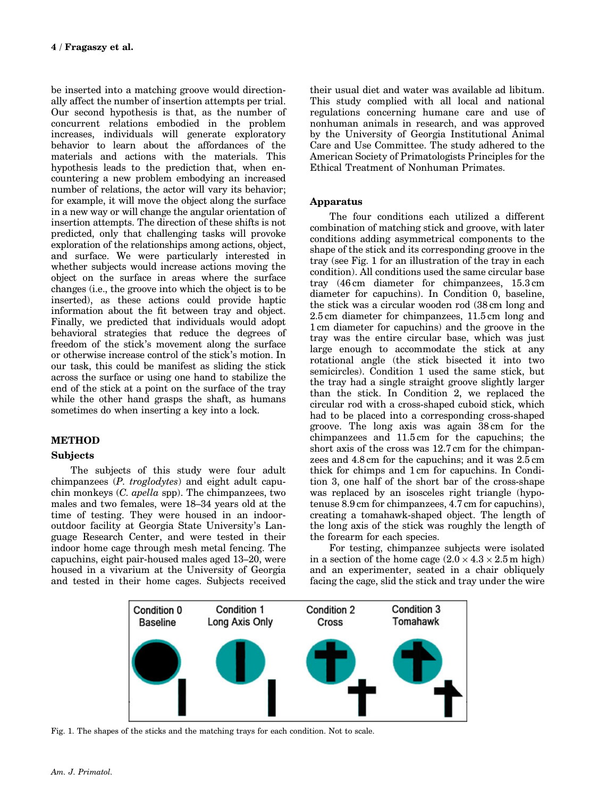be inserted into a matching groove would directionally affect the number of insertion attempts per trial. Our second hypothesis is that, as the number of concurrent relations embodied in the problem increases, individuals will generate exploratory behavior to learn about the affordances of the materials and actions with the materials. This hypothesis leads to the prediction that, when encountering a new problem embodying an increased number of relations, the actor will vary its behavior; for example, it will move the object along the surface in a new way or will change the angular orientation of insertion attempts. The direction of these shifts is not predicted, only that challenging tasks will provoke exploration of the relationships among actions, object, and surface. We were particularly interested in whether subjects would increase actions moving the object on the surface in areas where the surface changes (i.e., the groove into which the object is to be inserted), as these actions could provide haptic information about the fit between tray and object. Finally, we predicted that individuals would adopt behavioral strategies that reduce the degrees of freedom of the stick's movement along the surface or otherwise increase control of the stick's motion. In our task, this could be manifest as sliding the stick across the surface or using one hand to stabilize the end of the stick at a point on the surface of the tray while the other hand grasps the shaft, as humans sometimes do when inserting a key into a lock.

## **METHOD**

## Subjects

The subjects of this study were four adult chimpanzees (P. troglodytes) and eight adult capuchin monkeys (C. apella spp). The chimpanzees, two males and two females, were 18–34 years old at the time of testing. They were housed in an indooroutdoor facility at Georgia State University's Language Research Center, and were tested in their indoor home cage through mesh metal fencing. The capuchins, eight pair-housed males aged 13–20, were housed in a vivarium at the University of Georgia and tested in their home cages. Subjects received

their usual diet and water was available ad libitum. This study complied with all local and national regulations concerning humane care and use of nonhuman animals in research, and was approved by the University of Georgia Institutional Animal Care and Use Committee. The study adhered to the American Society of Primatologists Principles for the Ethical Treatment of Nonhuman Primates.

## Apparatus

The four conditions each utilized a different combination of matching stick and groove, with later conditions adding asymmetrical components to the shape of the stick and its corresponding groove in the tray (see Fig. 1 for an illustration of the tray in each condition). All conditions used the same circular base tray (46 cm diameter for chimpanzees, 15.3 cm diameter for capuchins). In Condition 0, baseline, the stick was a circular wooden rod (38 cm long and 2.5 cm diameter for chimpanzees, 11.5 cm long and 1 cm diameter for capuchins) and the groove in the tray was the entire circular base, which was just large enough to accommodate the stick at any rotational angle (the stick bisected it into two semicircles). Condition 1 used the same stick, but the tray had a single straight groove slightly larger than the stick. In Condition 2, we replaced the circular rod with a cross-shaped cuboid stick, which had to be placed into a corresponding cross-shaped groove. The long axis was again 38 cm for the chimpanzees and 11.5 cm for the capuchins; the short axis of the cross was 12.7 cm for the chimpanzees and 4.8 cm for the capuchins; and it was 2.5 cm thick for chimps and 1 cm for capuchins. In Condition 3, one half of the short bar of the cross-shape was replaced by an isosceles right triangle (hypotenuse 8.9 cm for chimpanzees, 4.7 cm for capuchins), creating a tomahawk-shaped object. The length of the long axis of the stick was roughly the length of the forearm for each species.

For testing, chimpanzee subjects were isolated in a section of the home cage  $(2.0 \times 4.3 \times 2.5 \text{ m high})$ and an experimenter, seated in a chair obliquely facing the cage, slid the stick and tray under the wire



Fig. 1. The shapes of the sticks and the matching trays for each condition. Not to scale.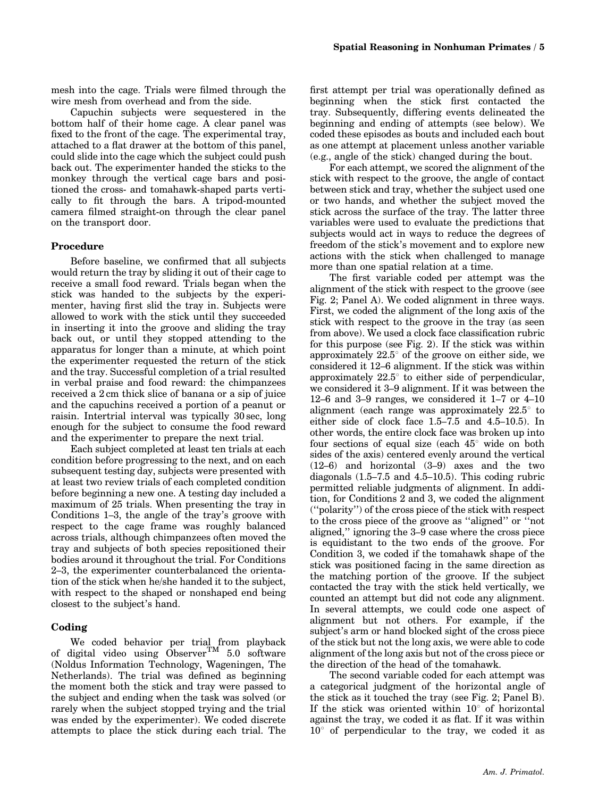mesh into the cage. Trials were filmed through the wire mesh from overhead and from the side.

Capuchin subjects were sequestered in the bottom half of their home cage. A clear panel was fixed to the front of the cage. The experimental tray, attached to a flat drawer at the bottom of this panel, could slide into the cage which the subject could push back out. The experimenter handed the sticks to the monkey through the vertical cage bars and positioned the cross- and tomahawk-shaped parts vertically to fit through the bars. A tripod-mounted camera filmed straight-on through the clear panel on the transport door.

### Procedure

Before baseline, we confirmed that all subjects would return the tray by sliding it out of their cage to receive a small food reward. Trials began when the stick was handed to the subjects by the experimenter, having first slid the tray in. Subjects were allowed to work with the stick until they succeeded in inserting it into the groove and sliding the tray back out, or until they stopped attending to the apparatus for longer than a minute, at which point the experimenter requested the return of the stick and the tray. Successful completion of a trial resulted in verbal praise and food reward: the chimpanzees received a 2 cm thick slice of banana or a sip of juice and the capuchins received a portion of a peanut or raisin. Intertrial interval was typically 30 sec, long enough for the subject to consume the food reward and the experimenter to prepare the next trial.

Each subject completed at least ten trials at each condition before progressing to the next, and on each subsequent testing day, subjects were presented with at least two review trials of each completed condition before beginning a new one. A testing day included a maximum of 25 trials. When presenting the tray in Conditions 1–3, the angle of the tray's groove with respect to the cage frame was roughly balanced across trials, although chimpanzees often moved the tray and subjects of both species repositioned their bodies around it throughout the trial. For Conditions 2–3, the experimenter counterbalanced the orientation of the stick when he/she handed it to the subject, with respect to the shaped or nonshaped end being closest to the subject's hand.

## Coding

We coded behavior per trial from playback of digital video using Observer<sup>TM</sup> 5.0 software (Noldus Information Technology, Wageningen, The Netherlands). The trial was defined as beginning the moment both the stick and tray were passed to the subject and ending when the task was solved (or rarely when the subject stopped trying and the trial was ended by the experimenter). We coded discrete attempts to place the stick during each trial. The

first attempt per trial was operationally defined as beginning when the stick first contacted the tray. Subsequently, differing events delineated the beginning and ending of attempts (see below). We coded these episodes as bouts and included each bout as one attempt at placement unless another variable (e.g., angle of the stick) changed during the bout.

For each attempt, we scored the alignment of the stick with respect to the groove, the angle of contact between stick and tray, whether the subject used one or two hands, and whether the subject moved the stick across the surface of the tray. The latter three variables were used to evaluate the predictions that subjects would act in ways to reduce the degrees of freedom of the stick's movement and to explore new actions with the stick when challenged to manage more than one spatial relation at a time.

The first variable coded per attempt was the alignment of the stick with respect to the groove (see Fig. 2; Panel A). We coded alignment in three ways. First, we coded the alignment of the long axis of the stick with respect to the groove in the tray (as seen from above). We used a clock face classification rubric for this purpose (see Fig. 2). If the stick was within approximately  $22.5^{\circ}$  of the groove on either side, we considered it 12–6 alignment. If the stick was within approximately  $22.5^{\circ}$  to either side of perpendicular, we considered it 3–9 alignment. If it was between the 12–6 and 3–9 ranges, we considered it 1–7 or 4–10 alignment (each range was approximately  $22.5^{\circ}$  to either side of clock face 1.5–7.5 and 4.5–10.5). In other words, the entire clock face was broken up into four sections of equal size (each  $45^{\circ}$  wide on both sides of the axis) centered evenly around the vertical (12–6) and horizontal (3–9) axes and the two diagonals (1.5–7.5 and 4.5–10.5). This coding rubric permitted reliable judgments of alignment. In addition, for Conditions 2 and 3, we coded the alignment (''polarity'') of the cross piece of the stick with respect to the cross piece of the groove as ''aligned'' or ''not aligned,'' ignoring the 3–9 case where the cross piece is equidistant to the two ends of the groove. For Condition 3, we coded if the tomahawk shape of the stick was positioned facing in the same direction as the matching portion of the groove. If the subject contacted the tray with the stick held vertically, we counted an attempt but did not code any alignment. In several attempts, we could code one aspect of alignment but not others. For example, if the subject's arm or hand blocked sight of the cross piece of the stick but not the long axis, we were able to code alignment of the long axis but not of the cross piece or the direction of the head of the tomahawk.

The second variable coded for each attempt was a categorical judgment of the horizontal angle of the stick as it touched the tray (see Fig. 2; Panel B). If the stick was oriented within  $10^{\circ}$  of horizontal against the tray, we coded it as flat. If it was within  $10^{\circ}$  of perpendicular to the tray, we coded it as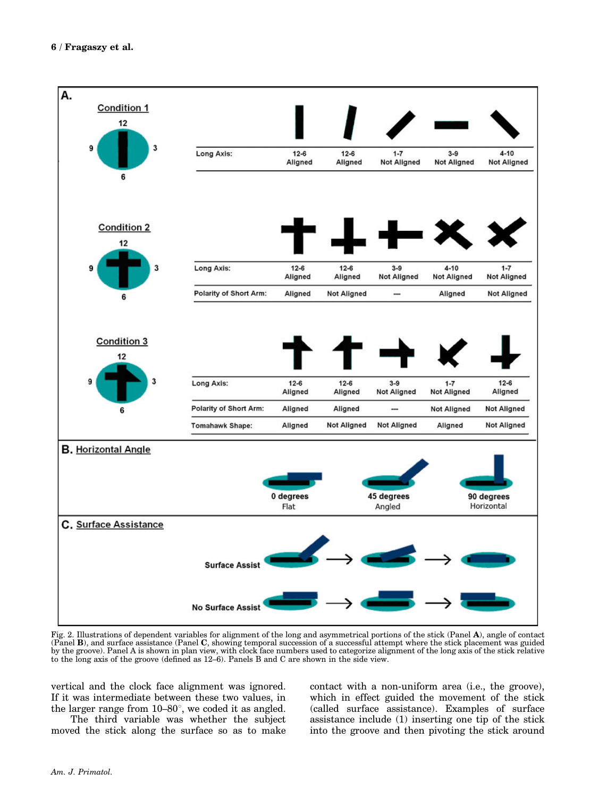

Fig. 2. Illustrations of dependent variables for alignment of the long and asymmetrical portions of the stick (Panel **A**), angle of contact<br>(Panel **B**), and surface assistance (Panel **C**, showing temporal succession of a s by the groove). Panel A is shown in plan view, with clock face numbers used to categorize alignment of the long axis of the stick relative to the long axis of the groove (defined as 12–6). Panels B and C are shown in the side view.

vertical and the clock face alignment was ignored. If it was intermediate between these two values, in the larger range from  $10-80^\circ$ , we coded it as angled.

The third variable was whether the subject moved the stick along the surface so as to make contact with a non-uniform area (i.e., the groove), which in effect guided the movement of the stick (called surface assistance). Examples of surface assistance include (1) inserting one tip of the stick into the groove and then pivoting the stick around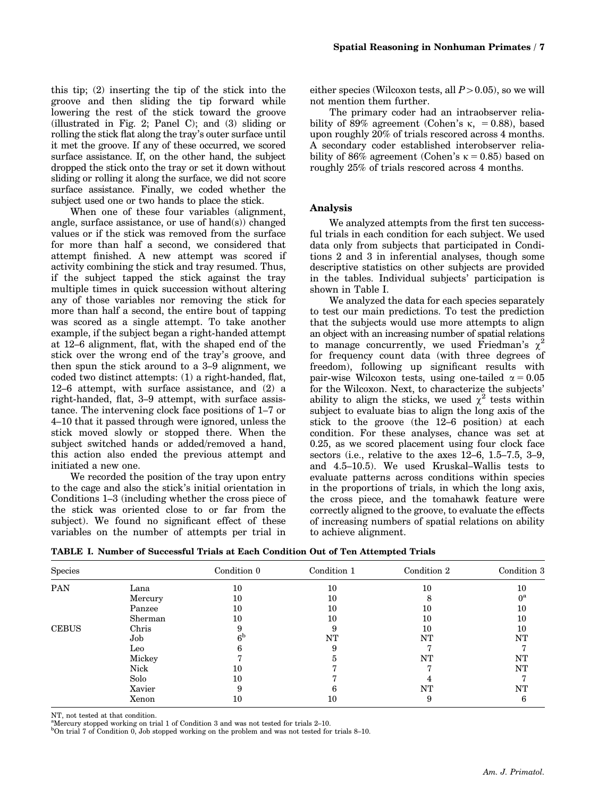this tip; (2) inserting the tip of the stick into the groove and then sliding the tip forward while lowering the rest of the stick toward the groove (illustrated in Fig. 2; Panel C); and (3) sliding or rolling the stick flat along the tray's outer surface until it met the groove. If any of these occurred, we scored surface assistance. If, on the other hand, the subject dropped the stick onto the tray or set it down without sliding or rolling it along the surface, we did not score surface assistance. Finally, we coded whether the subject used one or two hands to place the stick.

When one of these four variables (alignment, angle, surface assistance, or use of hand(s)) changed values or if the stick was removed from the surface for more than half a second, we considered that attempt finished. A new attempt was scored if activity combining the stick and tray resumed. Thus, if the subject tapped the stick against the tray multiple times in quick succession without altering any of those variables nor removing the stick for more than half a second, the entire bout of tapping was scored as a single attempt. To take another example, if the subject began a right-handed attempt at 12–6 alignment, flat, with the shaped end of the stick over the wrong end of the tray's groove, and then spun the stick around to a 3–9 alignment, we coded two distinct attempts: (1) a right-handed, flat, 12–6 attempt, with surface assistance, and (2) a right-handed, flat, 3–9 attempt, with surface assistance. The intervening clock face positions of 1–7 or 4–10 that it passed through were ignored, unless the stick moved slowly or stopped there. When the subject switched hands or added/removed a hand, this action also ended the previous attempt and initiated a new one.

We recorded the position of the tray upon entry to the cage and also the stick's initial orientation in Conditions 1–3 (including whether the cross piece of the stick was oriented close to or far from the subject). We found no significant effect of these variables on the number of attempts per trial in either species (Wilcoxon tests, all  $P > 0.05$ ), so we will not mention them further.

The primary coder had an intraobserver reliability of 89% agreement (Cohen's  $\kappa$ , = 0.88), based upon roughly 20% of trials rescored across 4 months. A secondary coder established interobserver reliability of 86% agreement (Cohen's  $\kappa = 0.85$ ) based on roughly 25% of trials rescored across 4 months.

### Analysis

We analyzed attempts from the first ten successful trials in each condition for each subject. We used data only from subjects that participated in Conditions 2 and 3 in inferential analyses, though some descriptive statistics on other subjects are provided in the tables. Individual subjects' participation is shown in Table I.

We analyzed the data for each species separately to test our main predictions. To test the prediction that the subjects would use more attempts to align an object with an increasing number of spatial relations to manage concurrently, we used Friedman's  $\chi^2$ for frequency count data (with three degrees of freedom), following up significant results with pair-wise Wilcoxon tests, using one-tailed  $\alpha = 0.05$ for the Wilcoxon. Next, to characterize the subjects' ability to align the sticks, we used  $\chi^2$  tests within subject to evaluate bias to align the long axis of the stick to the groove (the 12–6 position) at each condition. For these analyses, chance was set at 0.25, as we scored placement using four clock face sectors (i.e., relative to the axes 12–6, 1.5–7.5, 3–9, and 4.5–10.5). We used Kruskal–Wallis tests to evaluate patterns across conditions within species in the proportions of trials, in which the long axis, the cross piece, and the tomahawk feature were correctly aligned to the groove, to evaluate the effects of increasing numbers of spatial relations on ability to achieve alignment.

TABLE I. Number of Successful Trials at Each Condition Out of Ten Attempted Trials

| Species      |              | Condition 0    | Condition 1 | Condition 2 | Condition 3 |
|--------------|--------------|----------------|-------------|-------------|-------------|
| PAN          | Lana         | 10             | 10          | 10          | 10          |
|              | Mercury      | 10             | 10          | O           | $0^{\rm a}$ |
|              | Panzee       | 10             | 10          | 10          | 10          |
|              | Sherman      | 10             | 10          | 10          | 10          |
| <b>CEBUS</b> | Chris        | 9              |             | 10          | 10          |
|              | $_{\rm Job}$ | 6 <sup>b</sup> | NT          | $_{\rm NT}$ | NT          |
|              | Leo          |                |             |             |             |
|              | Mickey       |                |             | $_{\rm NT}$ | NT          |
|              | Nick         | 10             |             |             | $_{\rm NT}$ |
|              | Solo         | 10             |             |             |             |
|              | Xavier       | 9              |             | NT          | NT          |
|              | Xenon        | 10             | 10          | 9           | h           |

NT, not tested at that condition.

<sup>a</sup>Mercury stopped working on trial 1 of Condition 3 and was not tested for trials 2-10.

<sup>b</sup>On trial 7 of Condition 0, Job stopped working on the problem and was not tested for trials 8–10.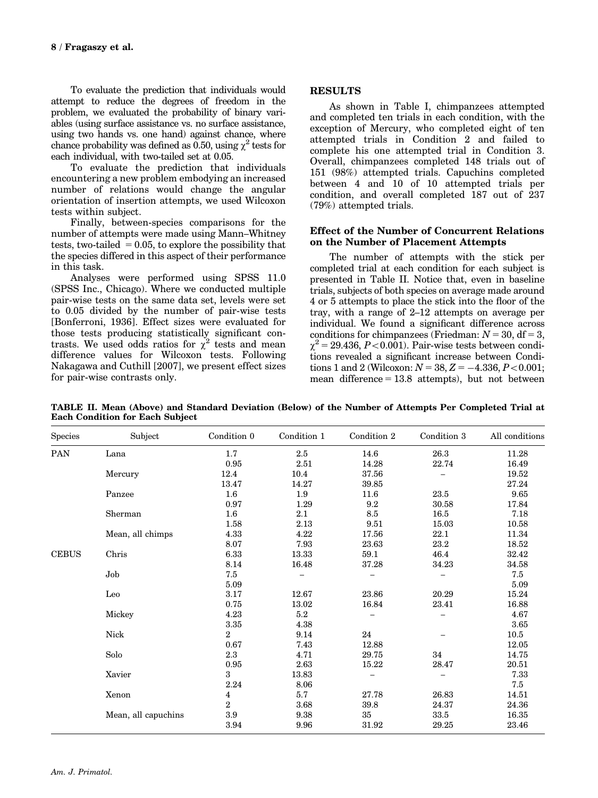To evaluate the prediction that individuals would attempt to reduce the degrees of freedom in the problem, we evaluated the probability of binary variables (using surface assistance vs. no surface assistance, using two hands vs. one hand) against chance, where chance probability was defined as 0.50, using  $\chi^2$  tests for each individual, with two-tailed set at 0.05.

To evaluate the prediction that individuals encountering a new problem embodying an increased number of relations would change the angular orientation of insertion attempts, we used Wilcoxon tests within subject.

Finally, between-species comparisons for the number of attempts were made using Mann–Whitney tests, two-tailed  $= 0.05$ , to explore the possibility that the species differed in this aspect of their performance in this task.

Analyses were performed using SPSS 11.0 (SPSS Inc., Chicago). Where we conducted multiple pair-wise tests on the same data set, levels were set to 0.05 divided by the number of pair-wise tests [Bonferroni, 1936]. Effect sizes were evaluated for those tests producing statistically significant contrasts. We used odds ratios for  $\chi^2$  tests and mean difference values for Wilcoxon tests. Following Nakagawa and Cuthill [2007], we present effect sizes for pair-wise contrasts only.

## RESULTS

As shown in Table I, chimpanzees attempted and completed ten trials in each condition, with the exception of Mercury, who completed eight of ten attempted trials in Condition 2 and failed to complete his one attempted trial in Condition 3. Overall, chimpanzees completed 148 trials out of 151 (98%) attempted trials. Capuchins completed between 4 and 10 of 10 attempted trials per condition, and overall completed 187 out of 237 (79%) attempted trials.

### Effect of the Number of Concurrent Relations on the Number of Placement Attempts

The number of attempts with the stick per completed trial at each condition for each subject is presented in Table II. Notice that, even in baseline trials, subjects of both species on average made around 4 or 5 attempts to place the stick into the floor of the tray, with a range of 2–12 attempts on average per individual. We found a significant difference across conditions for chimpanzees (Friedman:  $N = 30$ , df = 3,  $\chi^2$  = 29.436, P < 0.001). Pair-wise tests between conditions revealed a significant increase between Conditions 1 and 2 (Wilcoxon:  $N = 38$ ,  $Z = -4.336$ ,  $P < 0.001$ ; mean difference  $= 13.8$  attempts), but not between

TABLE II. Mean (Above) and Standard Deviation (Below) of the Number of Attempts Per Completed Trial at Each Condition for Each Subject

| Species      | Subject             | Condition 0    | Condition 1 | Condition 2 | Condition 3 | All conditions |
|--------------|---------------------|----------------|-------------|-------------|-------------|----------------|
| PAN          | Lana                | 1.7            | 2.5         | 14.6        | 26.3        | 11.28          |
|              |                     | 0.95           | 2.51        | 14.28       | 22.74       | 16.49          |
|              | Mercury             | 12.4           | 10.4        | 37.56       |             | 19.52          |
|              |                     | 13.47          | 14.27       | 39.85       |             | 27.24          |
|              | Panzee              | 1.6            | 1.9         | 11.6        | 23.5        | 9.65           |
|              |                     | 0.97           | 1.29        | 9.2         | 30.58       | 17.84          |
|              | Sherman             | $1.6\,$        | $2.1\,$     | 8.5         | 16.5        | 7.18           |
|              |                     | 1.58           | 2.13        | 9.51        | 15.03       | 10.58          |
|              | Mean, all chimps    | 4.33           | 4.22        | 17.56       | 22.1        | 11.34          |
|              |                     | 8.07           | 7.93        | 23.63       | 23.2        | 18.52          |
| <b>CEBUS</b> | Chris               | 6.33           | 13.33       | 59.1        | 46.4        | 32.42          |
|              |                     | 8.14           | 16.48       | 37.28       | 34.23       | 34.58          |
|              | $_{\rm Job}$        | 7.5            |             |             |             | 7.5            |
|              |                     | 5.09           |             |             |             | 5.09           |
|              | Leo                 | 3.17           | 12.67       | 23.86       | 20.29       | 15.24          |
|              |                     | 0.75           | 13.02       | 16.84       | 23.41       | 16.88          |
|              | Mickey              | 4.23           | $5.2\,$     |             |             | 4.67           |
|              |                     | 3.35           | 4.38        |             |             | 3.65           |
|              | Nick                | $\overline{2}$ | 9.14        | 24          |             | $10.5\,$       |
|              |                     | 0.67           | 7.43        | 12.88       |             | 12.05          |
|              | Solo                | 2.3            | 4.71        | 29.75       | 34          | 14.75          |
|              |                     | 0.95           | 2.63        | 15.22       | 28.47       | 20.51          |
|              | Xavier              | 3              | 13.83       |             |             | 7.33           |
|              |                     | 2.24           | 8.06        |             |             | 7.5            |
|              | Xenon               | 4              | 5.7         | 27.78       | 26.83       | 14.51          |
|              |                     | $\overline{2}$ | 3.68        | 39.8        | 24.37       | 24.36          |
|              | Mean, all capuchins | 3.9            | 9.38        | 35          | 33.5        | 16.35          |
|              |                     | 3.94           | 9.96        | 31.92       | 29.25       | 23.46          |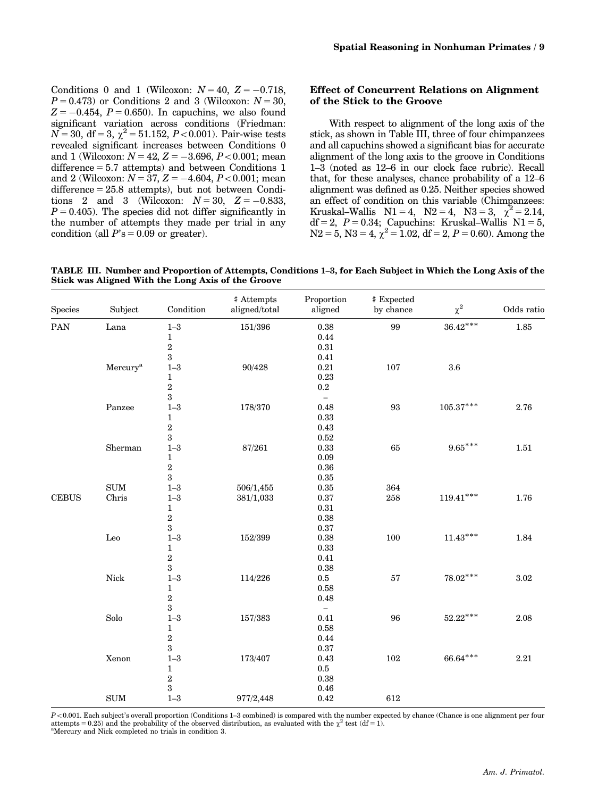Conditions 0 and 1 (Wilcoxon:  $N = 40$ ,  $Z = -0.718$ ,  $P = 0.473$  or Conditions 2 and 3 (Wilcoxon:  $N = 30$ ,  $Z = -0.454$ ,  $P = 0.650$ . In capuchins, we also found significant variation across conditions (Friedman:  $N = 30$ , df = 3,  $\chi^2 = 51.152$ ,  $P < 0.001$ ). Pair-wise tests revealed significant increases between Conditions 0 and 1 (Wilcoxon:  $N = 42$ ,  $Z = -3.696$ ,  $P < 0.001$ ; mean difference  $= 5.7$  attempts) and between Conditions 1 and 2 (Wilcoxon:  $N = 37$ ,  $Z = -4.604$ ,  $P < 0.001$ ; mean  $difference = 25.8$  attempts), but not between Conditions 2 and 3 (Wilcoxon:  $N = 30$ ,  $Z = -0.833$ ,  $P = 0.405$ . The species did not differ significantly in the number of attempts they made per trial in any condition (all  $P$ 's = 0.09 or greater).

#### Effect of Concurrent Relations on Alignment of the Stick to the Groove

With respect to alignment of the long axis of the stick, as shown in Table III, three of four chimpanzees and all capuchins showed a significant bias for accurate alignment of the long axis to the groove in Conditions 1–3 (noted as 12–6 in our clock face rubric). Recall that, for these analyses, chance probability of a 12–6 alignment was defined as 0.25. Neither species showed an effect of condition on this variable (Chimpanzees: Kruskal–Wallis  $N1 = 4$ ,  $N2 = 4$ ,  $N3 = 3$ ,  $\chi^2 = 2.14$ ,  $df = 2$ ,  $P = 0.34$ ; Capuchins: Kruskal–Wallis N1 = 5,  $N2 = 5$ ,  $N3 = 4$ ,  $\chi^2 = 1.02$ , df = 2,  $P = 0.60$ ). Among the

TABLE III. Number and Proportion of Attempts, Conditions 1–3, for Each Subject in Which the Long Axis of the Stick was Aligned With the Long Axis of the Groove

| Species     | Subject               | Condition                             | # Attempts<br>aligned/total | Proportion<br>aligned                | # Expected<br>by chance | $\chi^2$                | Odds ratio |
|-------------|-----------------------|---------------------------------------|-----------------------------|--------------------------------------|-------------------------|-------------------------|------------|
| PAN         | Lana                  | $1 - 3$                               | 151/396                     | 0.38                                 | 99                      | $36.42***$              | $1.85\,$   |
|             |                       | $1\,$                                 |                             | 0.44                                 |                         |                         |            |
|             |                       | $\,2$                                 |                             | 0.31                                 |                         |                         |            |
|             |                       | $\bf 3$                               |                             | $0.41\,$                             |                         |                         |            |
|             | Mercury <sup>a</sup>  | $1 - 3$                               | 90/428                      | $\rm 0.21$                           | $107\,$                 | $3.6\,$                 |            |
|             |                       | $1\,$                                 |                             | 0.23                                 |                         |                         |            |
|             |                       | $\,2$                                 |                             | $\rm 0.2$                            |                         |                         |            |
|             |                       | $\bf{3}$                              |                             | $\overline{\phantom{0}}$             |                         |                         |            |
|             | Panzee                | $1 - 3$                               | 178/370                     | 0.48                                 | 93                      | $105.37^{\ast\ast\ast}$ | 2.76       |
|             |                       | $\mathbf 1$                           |                             | 0.33                                 |                         |                         |            |
|             |                       | $\begin{array}{c} 2 \\ 3 \end{array}$ |                             | 0.43                                 |                         |                         |            |
|             |                       |                                       |                             | $\rm 0.52$                           |                         |                         |            |
|             | Sherman               | $1 - 3$                               | 87/261                      | 0.33                                 | 65                      | $9.65^{\ast\ast\ast}$   | $1.51\,$   |
|             |                       | $\mathbf 1$                           |                             | 0.09                                 |                         |                         |            |
|             |                       | $\,2$                                 |                             | 0.36                                 |                         |                         |            |
|             |                       | $\bf 3$                               |                             | $\rm 0.35$                           |                         |                         |            |
|             | $\mathbf{SUM}$        | $1 - 3$                               | 506/1,455                   | $\rm 0.35$                           | 364                     |                         |            |
| $\it CEBUS$ | Chris                 | $1 - 3$                               | 381/1,033                   | 0.37                                 | 258                     | $119.41^{\ast\ast\ast}$ | 1.76       |
|             |                       | $\mathbf 1$                           |                             | $\rm 0.31$                           |                         |                         |            |
|             |                       | $\,2$                                 |                             | 0.38                                 |                         |                         |            |
|             |                       | $\bf{3}$                              |                             | 0.37                                 |                         |                         |            |
|             | Leo                   | $1 - 3$                               | 152/399                     | 0.38<br>0.33                         | 100                     | $11.43***$              | 1.84       |
|             |                       | $\mathbf{1}$<br>$\,2$                 |                             |                                      |                         |                         |            |
|             |                       | $\bf{3}$                              |                             | $0.41\,$<br>0.38                     |                         |                         |            |
|             | $\operatorname{Nick}$ | $1 - 3$                               | 114/226                     | $0.5\,$                              | $57\,$                  | $78.02***$              | $3.02\,$   |
|             |                       |                                       |                             | 0.58                                 |                         |                         |            |
|             |                       | $\frac{1}{2}$                         |                             | 0.48                                 |                         |                         |            |
|             |                       | $\bf 3$                               |                             |                                      |                         |                         |            |
|             | Solo                  | $1 - 3$                               | 157/383                     | $\overline{\phantom{a}}$<br>$0.41\,$ | 96                      | $52.22^{\ast\ast\ast}$  | 2.08       |
|             |                       | $\mathbf 1$                           |                             | 0.58                                 |                         |                         |            |
|             |                       |                                       |                             | 0.44                                 |                         |                         |            |
|             |                       | $\begin{array}{c} 2 \\ 3 \end{array}$ |                             | 0.37                                 |                         |                         |            |
|             | Xenon                 | $1 - 3$                               | 173/407                     | 0.43                                 | $102\,$                 | $66.64***$              | 2.21       |
|             |                       | $\mathbf 1$                           |                             | $0.5\,$                              |                         |                         |            |
|             |                       | $\,2$                                 |                             | 0.38                                 |                         |                         |            |
|             |                       | $\bf 3$                               |                             | $0.46\,$                             |                         |                         |            |
|             | $\mathop{\rm SUM}$    | $1 - 3$                               | 977/2,448                   | 0.42                                 | 612                     |                         |            |

 $P<0.001$ . Each subject's overall proportion (Conditions 1-3 combined) is compared with the number expected by chance (Chance is one alignment per four attempts = 0.25) and the probability of the observed distribution, as evaluated with the  $\chi^2$  test (df = 1).

Mercury and Nick completed no trials in condition 3.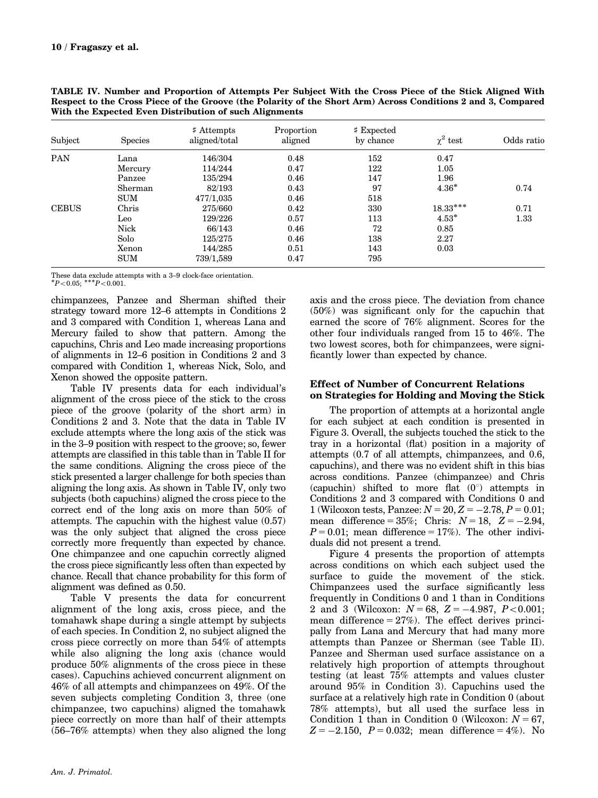| Subject      | <b>Species</b> | # Attempts<br>aligned/total | Proportion<br>aligned | $\#$ Expected<br>by chance | $\chi^2$ test | Odds ratio |
|--------------|----------------|-----------------------------|-----------------------|----------------------------|---------------|------------|
| PAN          | Lana           | 146/304                     | 0.48                  | 152                        | 0.47          |            |
|              | Mercury        | 114/244                     | 0.47                  | 122                        | 1.05          |            |
|              | Panzee         | 135/294                     | 0.46                  | 147                        | 1.96          |            |
|              | Sherman        | 82/193                      | 0.43                  | 97                         | $4.36*$       | 0.74       |
|              | <b>SUM</b>     | 477/1,035                   | 0.46                  | 518                        |               |            |
| <b>CEBUS</b> | Chris          | 275/660                     | 0.42                  | 330                        | $18.33***$    | 0.71       |
|              | Leo            | 129/226                     | 0.57                  | 113                        | $4.53*$       | 1.33       |
|              | Nick           | 66/143                      | 0.46                  | 72                         | 0.85          |            |
|              | Solo           | 125/275                     | 0.46                  | 138                        | 2.27          |            |
|              | Xenon          | 144/285                     | 0.51                  | 143                        | 0.03          |            |
|              | <b>SUM</b>     | 739/1,589                   | 0.47                  | 795                        |               |            |

TABLE IV. Number and Proportion of Attempts Per Subject With the Cross Piece of the Stick Aligned With Respect to the Cross Piece of the Groove (the Polarity of the Short Arm) Across Conditions 2 and 3, Compared With the Expected Even Distribution of such Alignments

These data exclude attempts with a 3–9 clock-face orientation.<br>\*P<0.05. \*\*\*P<0.001

 $^{*}P<0.05;$  $*P < 0.001$ .

chimpanzees, Panzee and Sherman shifted their strategy toward more 12–6 attempts in Conditions 2 and 3 compared with Condition 1, whereas Lana and Mercury failed to show that pattern. Among the capuchins, Chris and Leo made increasing proportions of alignments in 12–6 position in Conditions 2 and 3 compared with Condition 1, whereas Nick, Solo, and Xenon showed the opposite pattern.

Table IV presents data for each individual's alignment of the cross piece of the stick to the cross piece of the groove (polarity of the short arm) in Conditions 2 and 3. Note that the data in Table IV exclude attempts where the long axis of the stick was in the 3–9 position with respect to the groove; so, fewer attempts are classified in this table than in Table II for the same conditions. Aligning the cross piece of the stick presented a larger challenge for both species than aligning the long axis. As shown in Table IV, only two subjects (both capuchins) aligned the cross piece to the correct end of the long axis on more than 50% of attempts. The capuchin with the highest value (0.57) was the only subject that aligned the cross piece correctly more frequently than expected by chance. One chimpanzee and one capuchin correctly aligned the cross piece significantly less often than expected by chance. Recall that chance probability for this form of alignment was defined as 0.50.

Table V presents the data for concurrent alignment of the long axis, cross piece, and the tomahawk shape during a single attempt by subjects of each species. In Condition 2, no subject aligned the cross piece correctly on more than 54% of attempts while also aligning the long axis (chance would produce 50% alignments of the cross piece in these cases). Capuchins achieved concurrent alignment on 46% of all attempts and chimpanzees on 49%. Of the seven subjects completing Condition 3, three (one chimpanzee, two capuchins) aligned the tomahawk piece correctly on more than half of their attempts (56–76% attempts) when they also aligned the long

axis and the cross piece. The deviation from chance (50%) was significant only for the capuchin that earned the score of 76% alignment. Scores for the other four individuals ranged from 15 to 46%. The two lowest scores, both for chimpanzees, were significantly lower than expected by chance.

### Effect of Number of Concurrent Relations on Strategies for Holding and Moving the Stick

The proportion of attempts at a horizontal angle for each subject at each condition is presented in Figure 3. Overall, the subjects touched the stick to the tray in a horizontal (flat) position in a majority of attempts (0.7 of all attempts, chimpanzees, and 0.6, capuchins), and there was no evident shift in this bias across conditions. Panzee (chimpanzee) and Chris (capuchin) shifted to more flat  $(0^{\circ})$  attempts in Conditions 2 and 3 compared with Conditions 0 and 1 (Wilcoxon tests, Panzee:  $N = 20, Z = -2.78, P = 0.01;$ mean difference =  $35\%$ ; Chris:  $N = 18$ ,  $Z = -2.94$ ,  $P = 0.01$ ; mean difference = 17%). The other individuals did not present a trend.

Figure 4 presents the proportion of attempts across conditions on which each subject used the surface to guide the movement of the stick. Chimpanzees used the surface significantly less frequently in Conditions 0 and 1 than in Conditions 2 and 3 (Wilcoxon:  $N = 68$ ,  $Z = -4.987$ ,  $P < 0.001$ ; mean difference  $= 27\%)$ . The effect derives principally from Lana and Mercury that had many more attempts than Panzee or Sherman (see Table II). Panzee and Sherman used surface assistance on a relatively high proportion of attempts throughout testing (at least 75% attempts and values cluster around 95% in Condition 3). Capuchins used the surface at a relatively high rate in Condition 0 (about 78% attempts), but all used the surface less in Condition 1 than in Condition 0 (Wilcoxon:  $N = 67$ ,  $Z = -2.150$ ,  $P = 0.032$ ; mean difference = 4%). No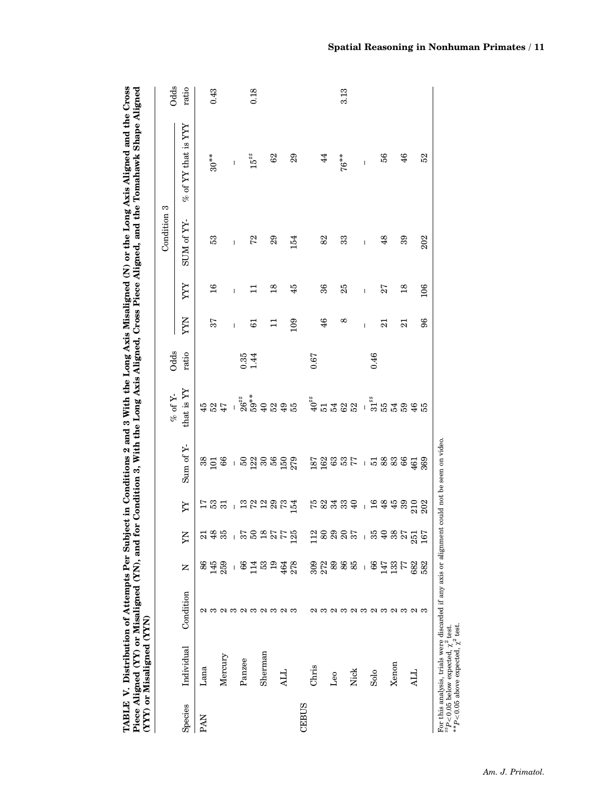| Individual<br>Mercury<br>Lana<br>Species<br>PAN |                 |                |                  |                     |                             |                                        |       |                         |                          |                          |                                       |       |
|-------------------------------------------------|-----------------|----------------|------------------|---------------------|-----------------------------|----------------------------------------|-------|-------------------------|--------------------------|--------------------------|---------------------------------------|-------|
|                                                 |                 |                |                  |                     |                             | $\%$ of Y-                             | Odds  |                         |                          | Condition 3              |                                       | Odds  |
|                                                 | Condition       | Z              | K                | $\overline{\rm{Y}}$ | Sum of Y-                   | that is YY                             | ratio | YYN                     | YΥY                      | SUM of YY-               | $\%$ of YY that is YYY                | ratio |
|                                                 |                 | 86             |                  |                     |                             | 45                                     |       |                         |                          |                          |                                       |       |
|                                                 | လ က             |                | $\frac{48}{30}$  | 1737                | $3801$ 66                   |                                        |       | 57                      | $\frac{6}{1}$            | 53                       | $30^{**}$                             | 0.43  |
|                                                 | ดตลตลดด         | 145<br>259     |                  |                     |                             | $52$ 47                                |       |                         |                          |                          |                                       |       |
|                                                 |                 |                |                  |                     |                             | $\overline{1}$                         |       | $\mathsf{I}$            | $\mathsf{I}$             | $\mathbf{I}$             | I                                     |       |
| Panzee                                          |                 | $-66$          | $-5007759$       | <u>្ម ដង ខ្លួ</u>   | <b>. និ</b> ង្គី ខ្លួន ខ្លួ | $26^{ \ddag\ast\ast}$ 59 $^{\ast\ast}$ | 0.35  |                         |                          |                          |                                       |       |
|                                                 |                 |                |                  |                     |                             |                                        | 1.44  | 61                      | $\mathbf{1}$             | 72                       | $15^{**}$                             | 0.18  |
| Sherman                                         |                 | $\frac{6}{2}$  |                  |                     |                             |                                        |       |                         |                          |                          |                                       |       |
|                                                 |                 |                |                  |                     |                             |                                        |       | $\Box$                  | 18                       | 29                       | 8                                     |       |
| <b>ALL</b>                                      |                 | 464            |                  |                     |                             | 40950                                  |       |                         |                          |                          |                                       |       |
|                                                 |                 | 278            |                  |                     | 279                         |                                        |       | 109                     | 45                       | 154                      | 29                                    |       |
| <b>CEBUS</b>                                    |                 |                |                  |                     |                             |                                        |       |                         |                          |                          |                                       |       |
| Chris                                           | പ ന             | 309            | $\frac{12}{2}$   |                     | 187                         | $40^{**}$                              | 0.67  |                         |                          |                          |                                       |       |
|                                                 |                 | 272            |                  | <b>なみみぬめ</b>        | 162                         |                                        |       | $\frac{6}{5}$           | 36                       | 82                       | 4                                     |       |
| Leo                                             |                 |                |                  |                     |                             |                                        |       |                         |                          |                          |                                       |       |
|                                                 |                 | <b>385</b>     | <u>និងឧដ្</u>    |                     | 337                         | 5325                                   |       | $^{\circ}$              | 25                       | 33                       | $* * 91$                              | 3.13  |
| Nick                                            | a ma ma ma ma m |                |                  |                     |                             |                                        |       |                         |                          |                          |                                       |       |
|                                                 |                 | $\overline{1}$ |                  |                     |                             | $\bar{\rm I}$                          |       | $\mathbf{I}$            | $\overline{\phantom{a}}$ | $\overline{\phantom{a}}$ | $\begin{array}{c} \hline \end{array}$ |       |
| Solo                                            |                 | 86             |                  |                     |                             |                                        | 0.46  |                         |                          |                          |                                       |       |
|                                                 |                 | 147            | । ஐ <del>1</del> | $-284$              | 1,58888                     | ដ<br>ដូច្នូង ១៩ ២<br>ដូ                |       | $\overline{\mathbf{z}}$ | 27                       | 48                       | 56                                    |       |
| Xenon                                           |                 | 133            | 38               |                     |                             |                                        |       |                         |                          |                          |                                       |       |
|                                                 |                 | 77             | 27               | 39                  |                             |                                        |       | $\overline{21}$         | 18                       | 39                       | 46                                    |       |
| ALL                                             |                 | 682            | 251              | 210<br>202          | 461                         |                                        |       |                         |                          |                          |                                       |       |
|                                                 |                 | 582            | 167              |                     | 369                         |                                        |       | 96                      | 106                      | 202                      | 52                                    |       |

Spatial Reasoning in Nonhuman Primates / 11

 $\frac{1}{2}$ 

 $P<0.05$  below expected,  $\chi^2$  test.  $P<0.05$  above expected,  $\chi^2$  test.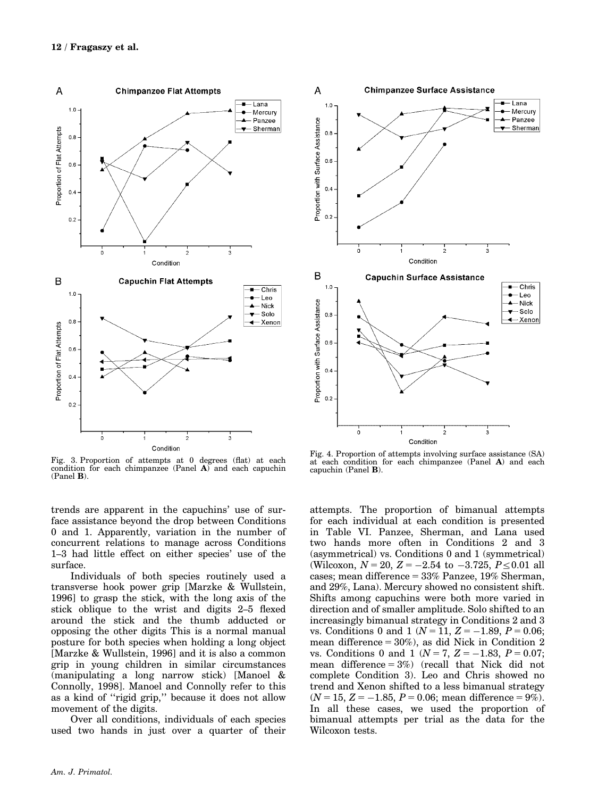

Fig. 3. Proportion of attempts at 0 degrees (flat) at each condition for each chimpanzee (Panel  $\overrightarrow{A}$ ) and each capuchin (Panel B).

trends are apparent in the capuchins' use of surface assistance beyond the drop between Conditions 0 and 1. Apparently, variation in the number of concurrent relations to manage across Conditions 1–3 had little effect on either species' use of the surface.

Individuals of both species routinely used a transverse hook power grip [Marzke & Wullstein, 1996] to grasp the stick, with the long axis of the stick oblique to the wrist and digits 2–5 flexed around the stick and the thumb adducted or opposing the other digits This is a normal manual posture for both species when holding a long object [Marzke & Wullstein, 1996] and it is also a common grip in young children in similar circumstances (manipulating a long narrow stick) [Manoel & Connolly, 1998]. Manoel and Connolly refer to this as a kind of ''rigid grip,'' because it does not allow movement of the digits.

Over all conditions, individuals of each species used two hands in just over a quarter of their



Fig. 4. Proportion of attempts involving surface assistance (SA) at each condition for each chimpanzee (Panel A) and each capuchin (Panel B).

attempts. The proportion of bimanual attempts for each individual at each condition is presented in Table VI. Panzee, Sherman, and Lana used two hands more often in Conditions 2 and 3 (asymmetrical) vs. Conditions 0 and 1 (symmetrical) (Wilcoxon,  $N = 20$ ,  $Z = -2.54$  to  $-3.725$ ,  $P \le 0.01$  all cases; mean difference =  $33\%$  Panzee,  $19\%$  Sherman, and 29%, Lana). Mercury showed no consistent shift. Shifts among capuchins were both more varied in direction and of smaller amplitude. Solo shifted to an increasingly bimanual strategy in Conditions 2 and 3 vs. Conditions 0 and 1 ( $N = 11$ ,  $Z = -1.89$ ,  $P = 0.06$ ; mean difference =  $30\%$ ), as did Nick in Condition 2 vs. Conditions 0 and 1 ( $N = 7$ ,  $Z = -1.83$ ,  $P = 0.07$ ; mean difference =  $3\%$ ) (recall that Nick did not complete Condition 3). Leo and Chris showed no trend and Xenon shifted to a less bimanual strategy  $(N = 15, Z = -1.85, P = 0.06; \text{ mean difference} = 9\%).$ In all these cases, we used the proportion of bimanual attempts per trial as the data for the Wilcoxon tests.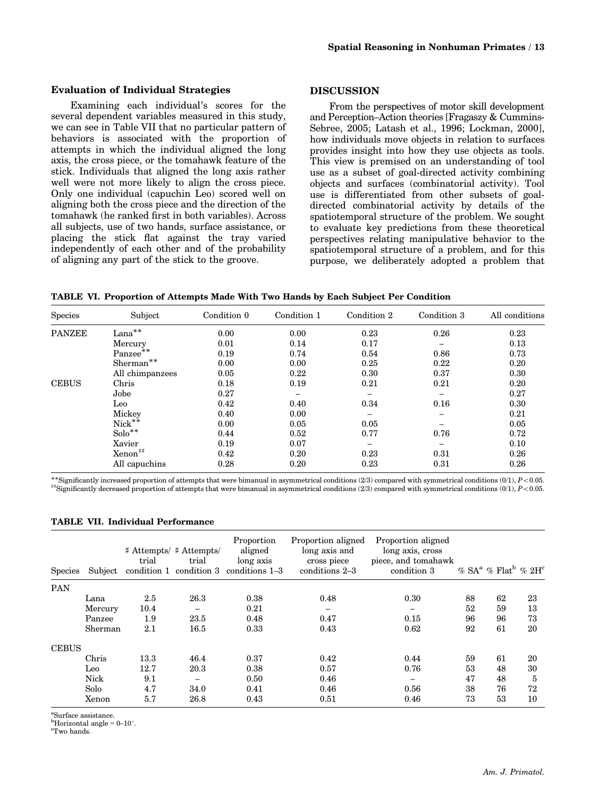#### Evaluation of Individual Strategies

Examining each individual's scores for the several dependent variables measured in this study, we can see in Table VII that no particular pattern of behaviors is associated with the proportion of attempts in which the individual aligned the long axis, the cross piece, or the tomahawk feature of the stick. Individuals that aligned the long axis rather well were not more likely to align the cross piece. Only one individual (capuchin Leo) scored well on aligning both the cross piece and the direction of the tomahawk (he ranked first in both variables). Across all subjects, use of two hands, surface assistance, or placing the stick flat against the tray varied independently of each other and of the probability of aligning any part of the stick to the groove.

#### **DISCUSSION**

From the perspectives of motor skill development and Perception–Action theories [Fragaszy & Cummins-Sebree, 2005; Latash et al., 1996; Lockman, 2000], how individuals move objects in relation to surfaces provides insight into how they use objects as tools. This view is premised on an understanding of tool use as a subset of goal-directed activity combining objects and surfaces (combinatorial activity). Tool use is differentiated from other subsets of goaldirected combinatorial activity by details of the spatiotemporal structure of the problem. We sought to evaluate key predictions from these theoretical perspectives relating manipulative behavior to the spatiotemporal structure of a problem, and for this purpose, we deliberately adopted a problem that

TABLE VI. Proportion of Attempts Made With Two Hands by Each Subject Per Condition

| Species       | Subject         | Condition 0 | Condition 1 | Condition 2 | Condition 3                  | All conditions |
|---------------|-----------------|-------------|-------------|-------------|------------------------------|----------------|
| <b>PANZEE</b> | Lana**          | 0.00        | 0.00        | 0.23        | 0.26                         | 0.23           |
|               | Mercury         | 0.01        | 0.14        | 0.17        |                              | 0.13           |
|               | Panzee**        | 0.19        | 0.74        | 0.54        | 0.86                         | 0.73           |
|               | Sherman**       | 0.00        | 0.00        | 0.25        | 0.22                         | 0.20           |
|               | All chimpanzees | 0.05        | 0.22        | 0.30        | 0.37                         | 0.30           |
| <b>CEBUS</b>  | Chris           | 0.18        | 0.19        | 0.21        | 0.21                         | 0.20           |
|               | Jobe            | 0.27        |             |             |                              | 0.27           |
|               | Leo             | 0.42        | 0.40        | 0.34        | 0.16                         | 0.30           |
|               | Mickey          | 0.40        | 0.00        | -           | $\qquad \qquad \blacksquare$ | 0.21           |
|               | Nick**          | 0.00        | 0.05        | 0.05        |                              | 0.05           |
|               | $Solo**$        | 0.44        | 0.52        | 0.77        | 0.76                         | 0.72           |
|               | Xavier          | 0.19        | 0.07        |             |                              | 0.10           |
|               | Xenon##         | 0.42        | 0.20        | 0.23        | 0.31                         | 0.26           |
|               | All capuchins   | 0.28        | 0.20        | 0.23        | 0.31                         | 0.26           |

--<sup>25</sup>Significantly decreased proportion of attempts that were bimanual in asymmetrical conditions  $(2/3)$  compared with symmetrical conditions  $(0/1)$ ,  $P < 0.05$ .

TABLE VII. Individual Performance

| <b>Species</b> | Subject | # Attempts/ # Attempts/<br>trial | trial<br>condition 1 condition 3 | Proportion<br>aligned<br>long axis<br>conditions 1–3 | Proportion aligned<br>long axis and<br>cross piece<br>conditions 2-3 | Proportion aligned<br>long axis, cross<br>piece, and tomahawk<br>condition 3 | % SA <sup>a</sup> % Flat <sup>b</sup> % 2H <sup>c</sup> |    |    |
|----------------|---------|----------------------------------|----------------------------------|------------------------------------------------------|----------------------------------------------------------------------|------------------------------------------------------------------------------|---------------------------------------------------------|----|----|
| PAN            |         |                                  |                                  |                                                      |                                                                      |                                                                              |                                                         |    |    |
|                | Lana    | 2.5                              | 26.3                             | 0.38                                                 | 0.48                                                                 | 0.30                                                                         | 88                                                      | 62 | 23 |
|                | Mercury | 10.4                             | -                                | 0.21                                                 | -                                                                    |                                                                              | 52                                                      | 59 | 13 |
|                | Panzee  | 1.9                              | 23.5                             | 0.48                                                 | 0.47                                                                 | 0.15                                                                         | 96                                                      | 96 | 73 |
|                | Sherman | 2.1                              | 16.5                             | 0.33                                                 | 0.43                                                                 | 0.62                                                                         | 92                                                      | 61 | 20 |
| <b>CEBUS</b>   |         |                                  |                                  |                                                      |                                                                      |                                                                              |                                                         |    |    |
|                | Chris   | 13.3                             | 46.4                             | 0.37                                                 | 0.42                                                                 | 0.44                                                                         | 59                                                      | 61 | 20 |
|                | Leo     | 12.7                             | 20.3                             | 0.38                                                 | 0.57                                                                 | 0.76                                                                         | 53                                                      | 48 | 30 |
|                | Nick    | 9.1                              |                                  | 0.50                                                 | 0.46                                                                 |                                                                              | 47                                                      | 48 | 5  |
|                | Solo    | 4.7                              | 34.0                             | 0.41                                                 | 0.46                                                                 | 0.56                                                                         | 38                                                      | 76 | 72 |
|                | Xenon   | 5.7                              | 26.8                             | 0.43                                                 | 0.51                                                                 | 0.46                                                                         | 73                                                      | 53 | 10 |

a Surface assistance.

 ${}^{b}$ Horizontal angle = 0–10<sup>°</sup>.

Two hands.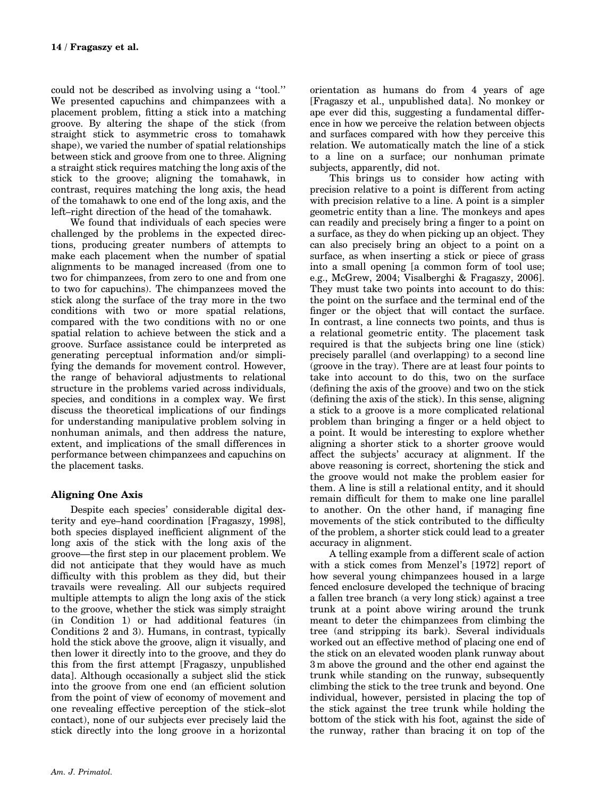could not be described as involving using a ''tool.'' We presented capuchins and chimpanzees with a placement problem, fitting a stick into a matching groove. By altering the shape of the stick (from straight stick to asymmetric cross to tomahawk shape), we varied the number of spatial relationships between stick and groove from one to three. Aligning a straight stick requires matching the long axis of the stick to the groove; aligning the tomahawk, in contrast, requires matching the long axis, the head of the tomahawk to one end of the long axis, and the left–right direction of the head of the tomahawk.

We found that individuals of each species were challenged by the problems in the expected directions, producing greater numbers of attempts to make each placement when the number of spatial alignments to be managed increased (from one to two for chimpanzees, from zero to one and from one to two for capuchins). The chimpanzees moved the stick along the surface of the tray more in the two conditions with two or more spatial relations, compared with the two conditions with no or one spatial relation to achieve between the stick and a groove. Surface assistance could be interpreted as generating perceptual information and/or simplifying the demands for movement control. However, the range of behavioral adjustments to relational structure in the problems varied across individuals, species, and conditions in a complex way. We first discuss the theoretical implications of our findings for understanding manipulative problem solving in nonhuman animals, and then address the nature, extent, and implications of the small differences in performance between chimpanzees and capuchins on the placement tasks.

## Aligning One Axis

Despite each species' considerable digital dexterity and eye–hand coordination [Fragaszy, 1998], both species displayed inefficient alignment of the long axis of the stick with the long axis of the groove—the first step in our placement problem. We did not anticipate that they would have as much difficulty with this problem as they did, but their travails were revealing. All our subjects required multiple attempts to align the long axis of the stick to the groove, whether the stick was simply straight (in Condition 1) or had additional features (in Conditions 2 and 3). Humans, in contrast, typically hold the stick above the groove, align it visually, and then lower it directly into to the groove, and they do this from the first attempt [Fragaszy, unpublished data]. Although occasionally a subject slid the stick into the groove from one end (an efficient solution from the point of view of economy of movement and one revealing effective perception of the stick–slot contact), none of our subjects ever precisely laid the stick directly into the long groove in a horizontal

orientation as humans do from 4 years of age [Fragaszy et al., unpublished data]. No monkey or ape ever did this, suggesting a fundamental difference in how we perceive the relation between objects and surfaces compared with how they perceive this relation. We automatically match the line of a stick to a line on a surface; our nonhuman primate subjects, apparently, did not.

This brings us to consider how acting with precision relative to a point is different from acting with precision relative to a line. A point is a simpler geometric entity than a line. The monkeys and apes can readily and precisely bring a finger to a point on a surface, as they do when picking up an object. They can also precisely bring an object to a point on a surface, as when inserting a stick or piece of grass into a small opening [a common form of tool use; e.g., McGrew, 2004; Visalberghi & Fragaszy, 2006]. They must take two points into account to do this: the point on the surface and the terminal end of the finger or the object that will contact the surface. In contrast, a line connects two points, and thus is a relational geometric entity. The placement task required is that the subjects bring one line (stick) precisely parallel (and overlapping) to a second line (groove in the tray). There are at least four points to take into account to do this, two on the surface (defining the axis of the groove) and two on the stick (defining the axis of the stick). In this sense, aligning a stick to a groove is a more complicated relational problem than bringing a finger or a held object to a point. It would be interesting to explore whether aligning a shorter stick to a shorter groove would affect the subjects' accuracy at alignment. If the above reasoning is correct, shortening the stick and the groove would not make the problem easier for them. A line is still a relational entity, and it should remain difficult for them to make one line parallel to another. On the other hand, if managing fine movements of the stick contributed to the difficulty of the problem, a shorter stick could lead to a greater accuracy in alignment.

A telling example from a different scale of action with a stick comes from Menzel's [1972] report of how several young chimpanzees housed in a large fenced enclosure developed the technique of bracing a fallen tree branch (a very long stick) against a tree trunk at a point above wiring around the trunk meant to deter the chimpanzees from climbing the tree (and stripping its bark). Several individuals worked out an effective method of placing one end of the stick on an elevated wooden plank runway about 3 m above the ground and the other end against the trunk while standing on the runway, subsequently climbing the stick to the tree trunk and beyond. One individual, however, persisted in placing the top of the stick against the tree trunk while holding the bottom of the stick with his foot, against the side of the runway, rather than bracing it on top of the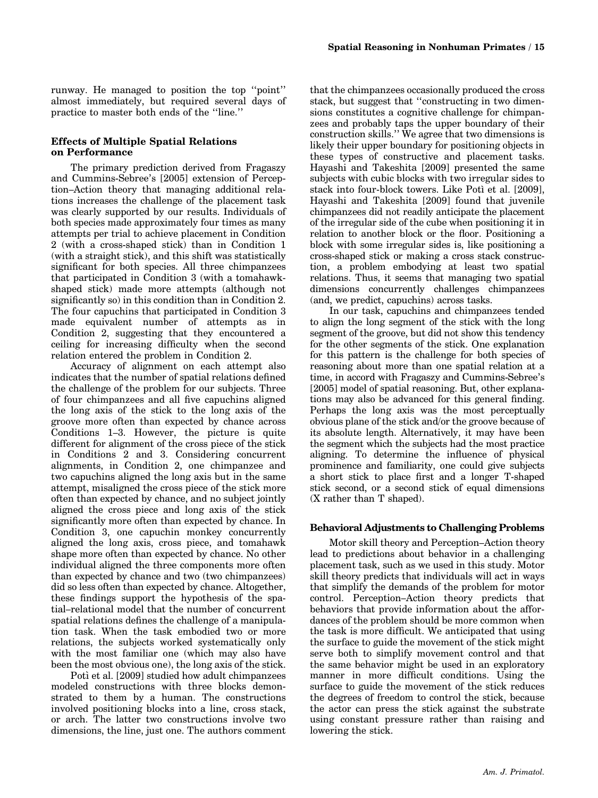runway. He managed to position the top ''point'' almost immediately, but required several days of practice to master both ends of the ''line.''

#### Effects of Multiple Spatial Relations on Performance

The primary prediction derived from Fragaszy and Cummins-Sebree's [2005] extension of Perception–Action theory that managing additional relations increases the challenge of the placement task was clearly supported by our results. Individuals of both species made approximately four times as many attempts per trial to achieve placement in Condition 2 (with a cross-shaped stick) than in Condition 1 (with a straight stick), and this shift was statistically significant for both species. All three chimpanzees that participated in Condition 3 (with a tomahawkshaped stick) made more attempts (although not significantly so) in this condition than in Condition 2. The four capuchins that participated in Condition 3 made equivalent number of attempts as in Condition 2, suggesting that they encountered a ceiling for increasing difficulty when the second relation entered the problem in Condition 2.

Accuracy of alignment on each attempt also indicates that the number of spatial relations defined the challenge of the problem for our subjects. Three of four chimpanzees and all five capuchins aligned the long axis of the stick to the long axis of the groove more often than expected by chance across Conditions 1–3. However, the picture is quite different for alignment of the cross piece of the stick in Conditions 2 and 3. Considering concurrent alignments, in Condition 2, one chimpanzee and two capuchins aligned the long axis but in the same attempt, misaligned the cross piece of the stick more often than expected by chance, and no subject jointly aligned the cross piece and long axis of the stick significantly more often than expected by chance. In Condition 3, one capuchin monkey concurrently aligned the long axis, cross piece, and tomahawk shape more often than expected by chance. No other individual aligned the three components more often than expected by chance and two (two chimpanzees) did so less often than expected by chance. Altogether, these findings support the hypothesis of the spatial–relational model that the number of concurrent spatial relations defines the challenge of a manipulation task. When the task embodied two or more relations, the subjects worked systematically only with the most familiar one (which may also have been the most obvious one), the long axis of the stick.

Poti et al. [2009] studied how adult chimpanzees modeled constructions with three blocks demonstrated to them by a human. The constructions involved positioning blocks into a line, cross stack, or arch. The latter two constructions involve two dimensions, the line, just one. The authors comment

that the chimpanzees occasionally produced the cross stack, but suggest that ''constructing in two dimensions constitutes a cognitive challenge for chimpanzees and probably taps the upper boundary of their construction skills.'' We agree that two dimensions is likely their upper boundary for positioning objects in these types of constructive and placement tasks. Hayashi and Takeshita [2009] presented the same subjects with cubic blocks with two irregular sides to stack into four-block towers. Like Poti et al. [2009], Hayashi and Takeshita [2009] found that juvenile chimpanzees did not readily anticipate the placement of the irregular side of the cube when positioning it in relation to another block or the floor. Positioning a block with some irregular sides is, like positioning a cross-shaped stick or making a cross stack construction, a problem embodying at least two spatial relations. Thus, it seems that managing two spatial dimensions concurrently challenges chimpanzees (and, we predict, capuchins) across tasks.

In our task, capuchins and chimpanzees tended to align the long segment of the stick with the long segment of the groove, but did not show this tendency for the other segments of the stick. One explanation for this pattern is the challenge for both species of reasoning about more than one spatial relation at a time, in accord with Fragaszy and Cummins-Sebree's [2005] model of spatial reasoning. But, other explanations may also be advanced for this general finding. Perhaps the long axis was the most perceptually obvious plane of the stick and/or the groove because of its absolute length. Alternatively, it may have been the segment which the subjects had the most practice aligning. To determine the influence of physical prominence and familiarity, one could give subjects a short stick to place first and a longer T-shaped stick second, or a second stick of equal dimensions (X rather than T shaped).

#### Behavioral Adjustments to Challenging Problems

Motor skill theory and Perception–Action theory lead to predictions about behavior in a challenging placement task, such as we used in this study. Motor skill theory predicts that individuals will act in ways that simplify the demands of the problem for motor control. Perception–Action theory predicts that behaviors that provide information about the affordances of the problem should be more common when the task is more difficult. We anticipated that using the surface to guide the movement of the stick might serve both to simplify movement control and that the same behavior might be used in an exploratory manner in more difficult conditions. Using the surface to guide the movement of the stick reduces the degrees of freedom to control the stick, because the actor can press the stick against the substrate using constant pressure rather than raising and lowering the stick.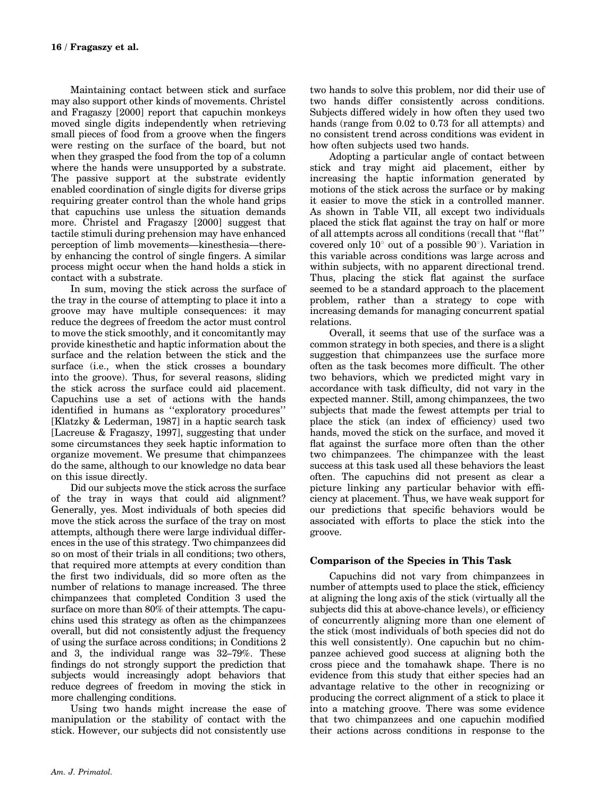Maintaining contact between stick and surface may also support other kinds of movements. Christel and Fragaszy [2000] report that capuchin monkeys moved single digits independently when retrieving small pieces of food from a groove when the fingers were resting on the surface of the board, but not when they grasped the food from the top of a column where the hands were unsupported by a substrate. The passive support at the substrate evidently enabled coordination of single digits for diverse grips requiring greater control than the whole hand grips that capuchins use unless the situation demands more. Christel and Fragaszy [2000] suggest that tactile stimuli during prehension may have enhanced perception of limb movements—kinesthesia—thereby enhancing the control of single fingers. A similar process might occur when the hand holds a stick in contact with a substrate.

In sum, moving the stick across the surface of the tray in the course of attempting to place it into a groove may have multiple consequences: it may reduce the degrees of freedom the actor must control to move the stick smoothly, and it concomitantly may provide kinesthetic and haptic information about the surface and the relation between the stick and the surface (i.e., when the stick crosses a boundary into the groove). Thus, for several reasons, sliding the stick across the surface could aid placement. Capuchins use a set of actions with the hands identified in humans as ''exploratory procedures'' [Klatzky & Lederman, 1987] in a haptic search task [Lacreuse & Fragaszy, 1997], suggesting that under some circumstances they seek haptic information to organize movement. We presume that chimpanzees do the same, although to our knowledge no data bear on this issue directly.

Did our subjects move the stick across the surface of the tray in ways that could aid alignment? Generally, yes. Most individuals of both species did move the stick across the surface of the tray on most attempts, although there were large individual differences in the use of this strategy. Two chimpanzees did so on most of their trials in all conditions; two others, that required more attempts at every condition than the first two individuals, did so more often as the number of relations to manage increased. The three chimpanzees that completed Condition 3 used the surface on more than 80% of their attempts. The capuchins used this strategy as often as the chimpanzees overall, but did not consistently adjust the frequency of using the surface across conditions; in Conditions 2 and 3, the individual range was 32–79%. These findings do not strongly support the prediction that subjects would increasingly adopt behaviors that reduce degrees of freedom in moving the stick in more challenging conditions.

Using two hands might increase the ease of manipulation or the stability of contact with the stick. However, our subjects did not consistently use

two hands to solve this problem, nor did their use of two hands differ consistently across conditions. Subjects differed widely in how often they used two hands (range from 0.02 to 0.73 for all attempts) and no consistent trend across conditions was evident in how often subjects used two hands.

Adopting a particular angle of contact between stick and tray might aid placement, either by increasing the haptic information generated by motions of the stick across the surface or by making it easier to move the stick in a controlled manner. As shown in Table VII, all except two individuals placed the stick flat against the tray on half or more of all attempts across all conditions (recall that ''flat'' covered only 10 $^{\circ}$  out of a possible 90 $^{\circ}$ ). Variation in this variable across conditions was large across and within subjects, with no apparent directional trend. Thus, placing the stick flat against the surface seemed to be a standard approach to the placement problem, rather than a strategy to cope with increasing demands for managing concurrent spatial relations.

Overall, it seems that use of the surface was a common strategy in both species, and there is a slight suggestion that chimpanzees use the surface more often as the task becomes more difficult. The other two behaviors, which we predicted might vary in accordance with task difficulty, did not vary in the expected manner. Still, among chimpanzees, the two subjects that made the fewest attempts per trial to place the stick (an index of efficiency) used two hands, moved the stick on the surface, and moved it flat against the surface more often than the other two chimpanzees. The chimpanzee with the least success at this task used all these behaviors the least often. The capuchins did not present as clear a picture linking any particular behavior with efficiency at placement. Thus, we have weak support for our predictions that specific behaviors would be associated with efforts to place the stick into the groove.

## Comparison of the Species in This Task

Capuchins did not vary from chimpanzees in number of attempts used to place the stick, efficiency at aligning the long axis of the stick (virtually all the subjects did this at above-chance levels), or efficiency of concurrently aligning more than one element of the stick (most individuals of both species did not do this well consistently). One capuchin but no chimpanzee achieved good success at aligning both the cross piece and the tomahawk shape. There is no evidence from this study that either species had an advantage relative to the other in recognizing or producing the correct alignment of a stick to place it into a matching groove. There was some evidence that two chimpanzees and one capuchin modified their actions across conditions in response to the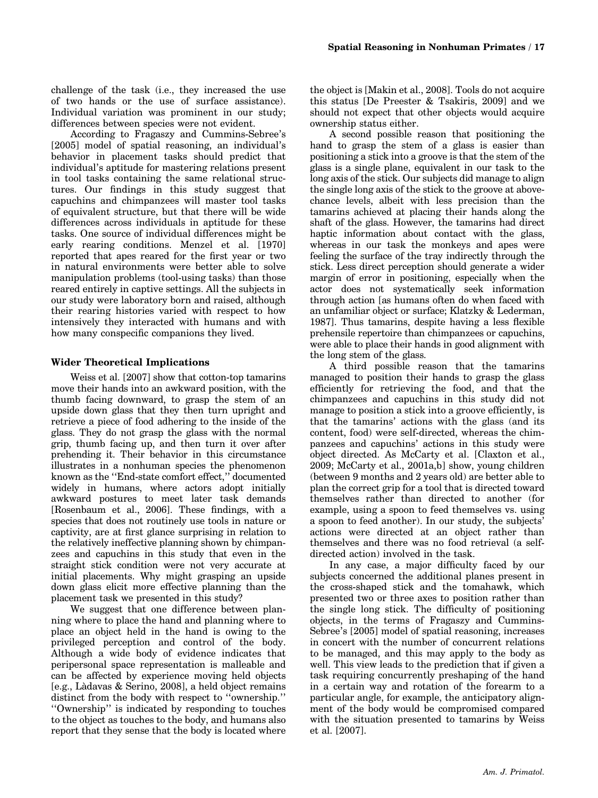challenge of the task (i.e., they increased the use of two hands or the use of surface assistance). Individual variation was prominent in our study; differences between species were not evident.

According to Fragaszy and Cummins-Sebree's [2005] model of spatial reasoning, an individual's behavior in placement tasks should predict that individual's aptitude for mastering relations present in tool tasks containing the same relational structures. Our findings in this study suggest that capuchins and chimpanzees will master tool tasks of equivalent structure, but that there will be wide differences across individuals in aptitude for these tasks. One source of individual differences might be early rearing conditions. Menzel et al. [1970] reported that apes reared for the first year or two in natural environments were better able to solve manipulation problems (tool-using tasks) than those reared entirely in captive settings. All the subjects in our study were laboratory born and raised, although their rearing histories varied with respect to how intensively they interacted with humans and with how many conspecific companions they lived.

### Wider Theoretical Implications

Weiss et al. [2007] show that cotton-top tamarins move their hands into an awkward position, with the thumb facing downward, to grasp the stem of an upside down glass that they then turn upright and retrieve a piece of food adhering to the inside of the glass. They do not grasp the glass with the normal grip, thumb facing up, and then turn it over after prehending it. Their behavior in this circumstance illustrates in a nonhuman species the phenomenon known as the ''End-state comfort effect,'' documented widely in humans, where actors adopt initially awkward postures to meet later task demands [Rosenbaum et al., 2006]. These findings, with a species that does not routinely use tools in nature or captivity, are at first glance surprising in relation to the relatively ineffective planning shown by chimpanzees and capuchins in this study that even in the straight stick condition were not very accurate at initial placements. Why might grasping an upside down glass elicit more effective planning than the placement task we presented in this study?

We suggest that one difference between planning where to place the hand and planning where to place an object held in the hand is owing to the privileged perception and control of the body. Although a wide body of evidence indicates that peripersonal space representation is malleable and can be affected by experience moving held objects [e.g., La`davas & Serino, 2008], a held object remains distinct from the body with respect to ''ownership.'' ''Ownership'' is indicated by responding to touches to the object as touches to the body, and humans also report that they sense that the body is located where the object is [Makin et al., 2008]. Tools do not acquire this status [De Preester & Tsakiris, 2009] and we should not expect that other objects would acquire ownership status either.

A second possible reason that positioning the hand to grasp the stem of a glass is easier than positioning a stick into a groove is that the stem of the glass is a single plane, equivalent in our task to the long axis of the stick. Our subjects did manage to align the single long axis of the stick to the groove at abovechance levels, albeit with less precision than the tamarins achieved at placing their hands along the shaft of the glass. However, the tamarins had direct haptic information about contact with the glass, whereas in our task the monkeys and apes were feeling the surface of the tray indirectly through the stick. Less direct perception should generate a wider margin of error in positioning, especially when the actor does not systematically seek information through action [as humans often do when faced with an unfamiliar object or surface; Klatzky & Lederman, 1987]. Thus tamarins, despite having a less flexible prehensile repertoire than chimpanzees or capuchins, were able to place their hands in good alignment with the long stem of the glass.

A third possible reason that the tamarins managed to position their hands to grasp the glass efficiently for retrieving the food, and that the chimpanzees and capuchins in this study did not manage to position a stick into a groove efficiently, is that the tamarins' actions with the glass (and its content, food) were self-directed, whereas the chimpanzees and capuchins' actions in this study were object directed. As McCarty et al. [Claxton et al., 2009; McCarty et al., 2001a,b] show, young children (between 9 months and 2 years old) are better able to plan the correct grip for a tool that is directed toward themselves rather than directed to another (for example, using a spoon to feed themselves vs. using a spoon to feed another). In our study, the subjects' actions were directed at an object rather than themselves and there was no food retrieval (a selfdirected action) involved in the task.

In any case, a major difficulty faced by our subjects concerned the additional planes present in the cross-shaped stick and the tomahawk, which presented two or three axes to position rather than the single long stick. The difficulty of positioning objects, in the terms of Fragaszy and Cummins-Sebree's [2005] model of spatial reasoning, increases in concert with the number of concurrent relations to be managed, and this may apply to the body as well. This view leads to the prediction that if given a task requiring concurrently preshaping of the hand in a certain way and rotation of the forearm to a particular angle, for example, the anticipatory alignment of the body would be compromised compared with the situation presented to tamarins by Weiss et al. [2007].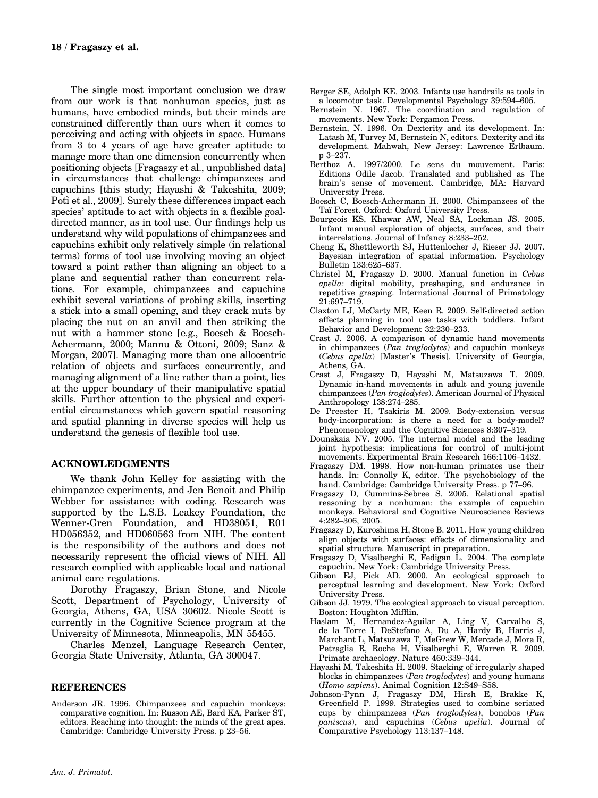The single most important conclusion we draw from our work is that nonhuman species, just as humans, have embodied minds, but their minds are constrained differently than ours when it comes to perceiving and acting with objects in space. Humans from 3 to 4 years of age have greater aptitude to manage more than one dimension concurrently when positioning objects [Fragaszy et al., unpublished data] in circumstances that challenge chimpanzees and capuchins [this study; Hayashi & Takeshita, 2009; Poti et al., 2009]. Surely these differences impact each species' aptitude to act with objects in a flexible goaldirected manner, as in tool use. Our findings help us understand why wild populations of chimpanzees and capuchins exhibit only relatively simple (in relational terms) forms of tool use involving moving an object toward a point rather than aligning an object to a plane and sequential rather than concurrent relations. For example, chimpanzees and capuchins exhibit several variations of probing skills, inserting a stick into a small opening, and they crack nuts by placing the nut on an anvil and then striking the nut with a hammer stone [e.g., Boesch & Boesch-Achermann, 2000; Mannu & Ottoni, 2009; Sanz & Morgan, 2007]. Managing more than one allocentric relation of objects and surfaces concurrently, and managing alignment of a line rather than a point, lies at the upper boundary of their manipulative spatial skills. Further attention to the physical and experiential circumstances which govern spatial reasoning and spatial planning in diverse species will help us understand the genesis of flexible tool use.

#### ACKNOWLEDGMENTS

We thank John Kelley for assisting with the chimpanzee experiments, and Jen Benoit and Philip Webber for assistance with coding. Research was supported by the L.S.B. Leakey Foundation, the Wenner-Gren Foundation, and HD38051, R01 HD056352, and HD060563 from NIH. The content is the responsibility of the authors and does not necessarily represent the official views of NIH. All research complied with applicable local and national animal care regulations.

Dorothy Fragaszy, Brian Stone, and Nicole Scott, Department of Psychology, University of Georgia, Athens, GA, USA 30602. Nicole Scott is currently in the Cognitive Science program at the University of Minnesota, Minneapolis, MN 55455.

Charles Menzel, Language Research Center, Georgia State University, Atlanta, GA 300047.

#### REFERENCES

Anderson JR. 1996. Chimpanzees and capuchin monkeys: comparative cognition. In: Russon AE, Bard KA, Parker ST, editors. Reaching into thought: the minds of the great apes. Cambridge: Cambridge University Press. p 23–56.

- Berger SE, Adolph KE. 2003. Infants use handrails as tools in a locomotor task. Developmental Psychology 39:594–605.
- Bernstein N. 1967. The coordination and regulation of movements. New York: Pergamon Press.
- Bernstein, N. 1996. On Dexterity and its development. In: Latash M, Turvey M, Bernstein N, editors. Dexterity and its development. Mahwah, New Jersey: Lawrence Erlbaum. p 3–237.
- Berthoz A. 1997/2000. Le sens du mouvement. Paris: Editions Odile Jacob. Translated and published as The brain's sense of movement. Cambridge, MA: Harvard University Press.
- Boesch C, Boesch-Achermann H. 2000. Chimpanzees of the Taı¨ Forest. Oxford: Oxford University Press.
- Bourgeois KS, Khawar AW, Neal SA, Lockman JS. 2005. Infant manual exploration of objects, surfaces, and their interrelations. Journal of Infancy 8:233–252.
- Cheng K, Shettleworth SJ, Huttenlocher J, Rieser JJ. 2007. Bayesian integration of spatial information. Psychology Bulletin 133:625–637.
- Christel M, Fragaszy D. 2000. Manual function in Cebus apella: digital mobility, preshaping, and endurance in repetitive grasping. International Journal of Primatology 21:697–719.
- Claxton LJ, McCarty ME, Keen R. 2009. Self-directed action affects planning in tool use tasks with toddlers. Infant Behavior and Development 32:230–233.
- Crast J. 2006. A comparison of dynamic hand movements in chimpanzees (Pan troglodytes) and capuchin monkeys (Cebus apella) [Master's Thesis]. University of Georgia, Athens, GA.
- Crast J, Fragaszy D, Hayashi M, Matsuzawa T. 2009. Dynamic in-hand movements in adult and young juvenile chimpanzees (Pan troglodytes). American Journal of Physical Anthropology 138:274–285.
- De Preester H, Tsakiris M. 2009. Body-extension versus body-incorporation: is there a need for a body-model? Phenomenology and the Cognitive Sciences 8:307–319.
- Dounskaia NV. 2005. The internal model and the leading joint hypothesis: implications for control of multi-joint movements. Experimental Brain Research 166:1106–1432.
- Fragaszy DM. 1998. How non-human primates use their hands. In: Connolly K, editor. The psychobiology of the hand. Cambridge: Cambridge University Press. p 77–96.
- Fragaszy D, Cummins-Sebree S. 2005. Relational spatial reasoning by a nonhuman: the example of capuchin monkeys. Behavioral and Cognitive Neuroscience Reviews 4:282–306, 2005.
- Fragaszy D, Kuroshima H, Stone B. 2011. How young children align objects with surfaces: effects of dimensionality and spatial structure. Manuscript in preparation.
- Fragaszy D, Visalberghi E, Fedigan L. 2004. The complete capuchin. New York: Cambridge University Press.
- Gibson EJ, Pick AD. 2000. An ecological approach to perceptual learning and development. New York: Oxford University Press.
- Gibson JJ. 1979. The ecological approach to visual perception. Boston: Houghton Mifflin.
- Haslam M, Hernandez-Aguilar A, Ling V, Carvalho S, de la Torre I, DeStefano A, Du A, Hardy B, Harris J, Marchant L, Matsuzawa T, MeGrew W, Mercade J, Mora R, Petraglia R, Roche H, Visalberghi E, Warren R. 2009. Primate archaeology. Nature 460:339–344.
- Hayashi M, Takeshita H. 2009. Stacking of irregularly shaped blocks in chimpanzees (Pan troglodytes) and young humans (Homo sapiens). Animal Cognition 12:S49–S58.
- Johnson-Pynn J, Fragaszy DM, Hirsh E, Brakke K, Greenfield P. 1999. Strategies used to combine seriated cups by chimpanzees (Pan troglodytes), bonobos (Pan paniscus), and capuchins (Cebus apella). Journal of Comparative Psychology 113:137–148.